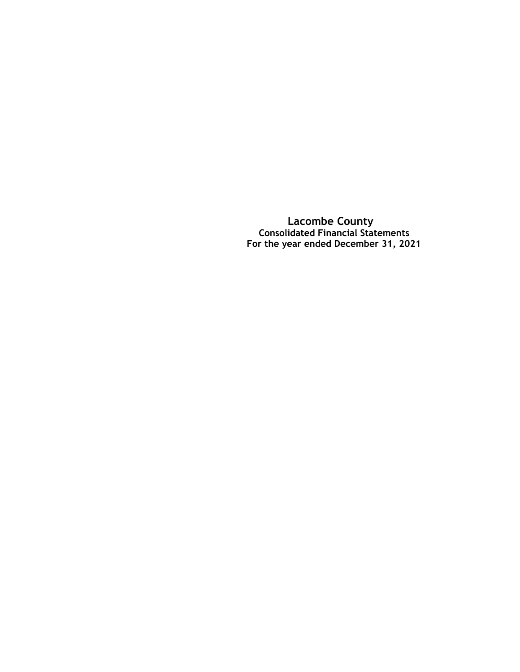**Lacombe County Consolidated Financial Statements For the year ended December 31, 2021**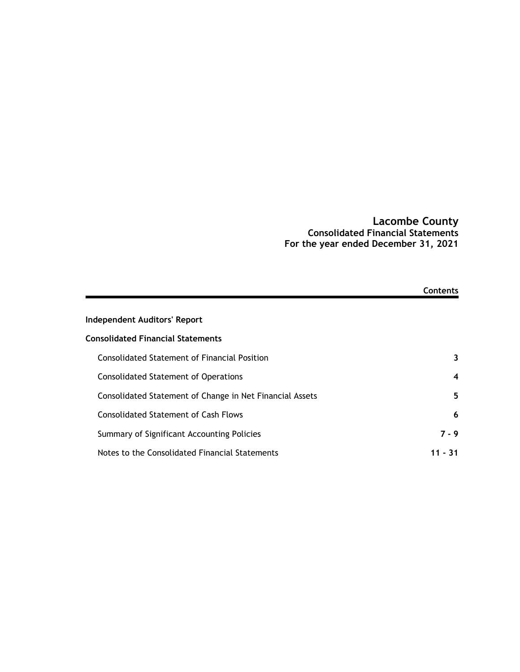### **Lacombe County Consolidated Financial Statements For the year ended December 31, 2021**

|                                                          | Contents |
|----------------------------------------------------------|----------|
| Independent Auditors' Report                             |          |
| <b>Consolidated Financial Statements</b>                 |          |
| <b>Consolidated Statement of Financial Position</b>      | 3        |
| <b>Consolidated Statement of Operations</b>              | 4        |
| Consolidated Statement of Change in Net Financial Assets | 5        |
| <b>Consolidated Statement of Cash Flows</b>              | 6        |
| Summary of Significant Accounting Policies               | 7 - 9    |
| Notes to the Consolidated Financial Statements           | 11 - 31  |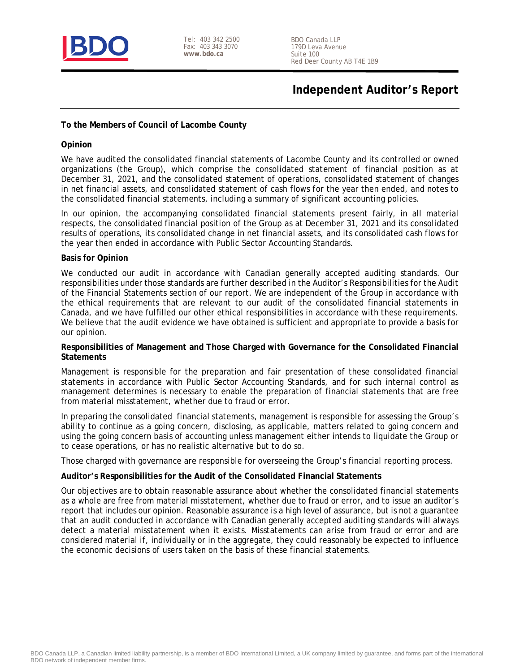

Tel: 403 342 2500 Fax: 403 343 3070 **www.bdo.ca**

BDO Canada LLP 179D Leva Avenue Suite 100 Red Deer County AB T4E 1B9

# **Independent Auditor's Report**

**To the Members of Council of Lacombe County**

#### **Opinion**

We have audited the consolidated financial statements of Lacombe County and its controlled or owned organizations (the Group), which comprise the consolidated statement of financial position as at December 31, 2021, and the consolidated statement of operations, consolidated statement of changes in net financial assets, and consolidated statement of cash flows for the year then ended, and notes to the consolidated financial statements, including a summary of significant accounting policies.

In our opinion, the accompanying consolidated financial statements present fairly, in all material respects, the consolidated financial position of the Group as at December 31, 2021 and its consolidated results of operations, its consolidated change in net financial assets, and its consolidated cash flows for the year then ended in accordance with Public Sector Accounting Standards.

#### **Basis for Opinion**

We conducted our audit in accordance with Canadian generally accepted auditing standards. Our responsibilities under those standards are further described in the Auditor's Responsibilities for the Audit of the Financial Statements section of our report. We are independent of the Group in accordance with the ethical requirements that are relevant to our audit of the consolidated financial statements in Canada, and we have fulfilled our other ethical responsibilities in accordance with these requirements. We believe that the audit evidence we have obtained is sufficient and appropriate to provide a basis for our opinion.

**Responsibilities of Management and Those Charged with Governance for the Consolidated Financial Statements**

Management is responsible for the preparation and fair presentation of these consolidated financial statements in accordance with Public Sector Accounting Standards, and for such internal control as management determines is necessary to enable the preparation of financial statements that are free from material misstatement, whether due to fraud or error.

In preparing the consolidated financial statements, management is responsible for assessing the Group's ability to continue as a going concern, disclosing, as applicable, matters related to going concern and using the going concern basis of accounting unless management either intends to liquidate the Group or to cease operations, or has no realistic alternative but to do so.

Those charged with governance are responsible for overseeing the Group's financial reporting process.

**Auditor's Responsibilities for the Audit of the Consolidated Financial Statements**

Our objectives are to obtain reasonable assurance about whether the consolidated financial statements as a whole are free from material misstatement, whether due to fraud or error, and to issue an auditor's report that includes our opinion. Reasonable assurance is a high level of assurance, but is not a guarantee that an audit conducted in accordance with Canadian generally accepted auditing standards will always detect a material misstatement when it exists. Misstatements can arise from fraud or error and are considered material if, individually or in the aggregate, they could reasonably be expected to influence the economic decisions of users taken on the basis of these financial statements.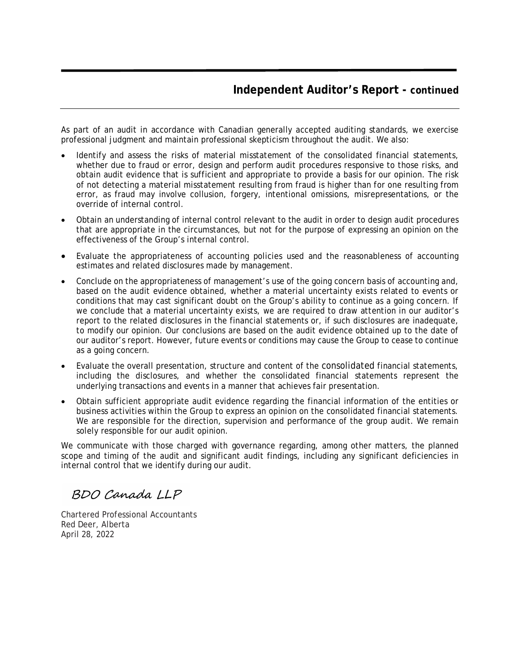As part of an audit in accordance with Canadian generally accepted auditing standards, we exercise professional judgment and maintain professional skepticism throughout the audit. We also:

- Identify and assess the risks of material misstatement of the consolidated financial statements, whether due to fraud or error, design and perform audit procedures responsive to those risks, and obtain audit evidence that is sufficient and appropriate to provide a basis for our opinion. The risk of not detecting a material misstatement resulting from fraud is higher than for one resulting from error, as fraud may involve collusion, forgery, intentional omissions, misrepresentations, or the override of internal control.
- Obtain an understanding of internal control relevant to the audit in order to design audit procedures that are appropriate in the circumstances, but not for the purpose of expressing an opinion on the effectiveness of the Group's internal control.
- Evaluate the appropriateness of accounting policies used and the reasonableness of accounting estimates and related disclosures made by management.
- Conclude on the appropriateness of management's use of the going concern basis of accounting and, based on the audit evidence obtained, whether a material uncertainty exists related to events or conditions that may cast significant doubt on the Group's ability to continue as a going concern. If we conclude that a material uncertainty exists, we are required to draw attention in our auditor's report to the related disclosures in the financial statements or, if such disclosures are inadequate, to modify our opinion. Our conclusions are based on the audit evidence obtained up to the date of our auditor's report. However, future events or conditions may cause the Group to cease to continue as a going concern.
- Evaluate the overall presentation, structure and content of the consolidated financial statements, including the disclosures, and whether the consolidated financial statements represent the underlying transactions and events in a manner that achieves fair presentation.
- Obtain sufficient appropriate audit evidence regarding the financial information of the entities or business activities within the Group to express an opinion on the consolidated financial statements. We are responsible for the direction, supervision and performance of the group audit. We remain solely responsible for our audit opinion.

We communicate with those charged with governance regarding, among other matters, the planned scope and timing of the audit and significant audit findings, including any significant deficiencies in internal control that we identify during our audit.

BDO Canada LLP

Chartered Professional Accountants Red Deer, Alberta April 28, 2022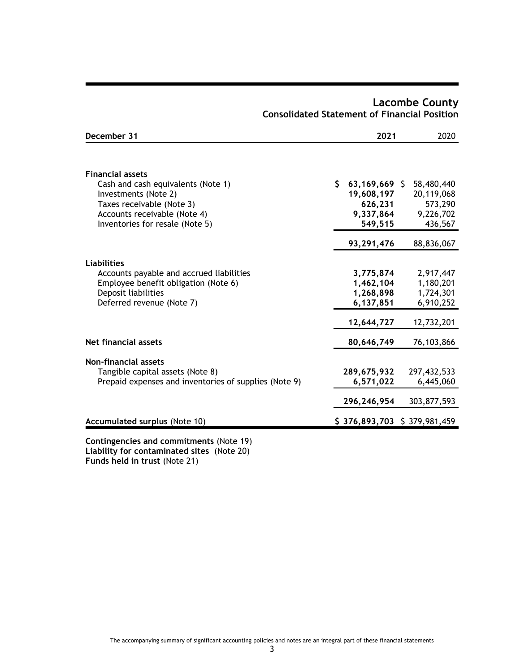| December 31                                           | 2021                        | 2020        |
|-------------------------------------------------------|-----------------------------|-------------|
| <b>Financial assets</b>                               |                             |             |
| Cash and cash equivalents (Note 1)                    | \$<br>$63,169,669$ \$       | 58,480,440  |
| Investments (Note 2)                                  | 19,608,197                  | 20,119,068  |
| Taxes receivable (Note 3)                             | 626,231                     | 573,290     |
| Accounts receivable (Note 4)                          | 9,337,864                   | 9,226,702   |
| Inventories for resale (Note 5)                       | 549,515                     | 436,567     |
|                                                       | 93,291,476                  | 88,836,067  |
| Liabilities                                           |                             |             |
| Accounts payable and accrued liabilities              | 3,775,874                   | 2,917,447   |
| Employee benefit obligation (Note 6)                  | 1,462,104                   | 1,180,201   |
| Deposit liabilities                                   | 1,268,898                   | 1,724,301   |
| Deferred revenue (Note 7)                             | 6,137,851                   | 6,910,252   |
|                                                       | 12,644,727                  | 12,732,201  |
| Net financial assets                                  | 80,646,749                  | 76,103,866  |
| <b>Non-financial assets</b>                           |                             |             |
| Tangible capital assets (Note 8)                      | 289,675,932                 | 297,432,533 |
| Prepaid expenses and inventories of supplies (Note 9) | 6,571,022                   | 6,445,060   |
|                                                       |                             |             |
|                                                       | 296,246,954                 | 303,877,593 |
| Accumulated surplus (Note 10)                         | \$376,893,703 \$379,981,459 |             |
| Contingencies and commitments (Note 19)               |                             |             |

# **Lacombe County Consolidated Statement of Financial Position**

**Contingencies and commitments** (Note 19) **Liability for contaminated sites** (Note 20) **Funds held in trust** (Note 21)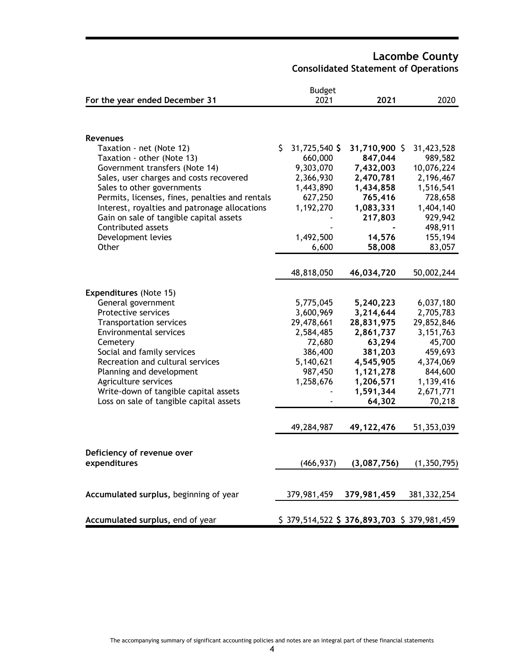**Lacombe County Consolidated Statement of Operations**

|                                                 |     | <b>Budget</b> |                                           |               |
|-------------------------------------------------|-----|---------------|-------------------------------------------|---------------|
| For the year ended December 31                  |     | 2021          | 2021                                      | 2020          |
|                                                 |     |               |                                           |               |
|                                                 |     |               |                                           |               |
| <b>Revenues</b>                                 |     |               |                                           |               |
| Taxation - net (Note 12)                        | \$. | 31,725,540 \$ | 31,710,900 \$                             | 31,423,528    |
| Taxation - other (Note 13)                      |     | 660,000       | 847,044                                   | 989,582       |
| Government transfers (Note 14)                  |     | 9,303,070     | 7,432,003                                 | 10,076,224    |
| Sales, user charges and costs recovered         |     | 2,366,930     | 2,470,781                                 | 2,196,467     |
| Sales to other governments                      |     | 1,443,890     | 1,434,858                                 | 1,516,541     |
| Permits, licenses, fines, penalties and rentals |     | 627,250       | 765,416                                   | 728,658       |
| Interest, royalties and patronage allocations   |     | 1,192,270     | 1,083,331                                 | 1,404,140     |
| Gain on sale of tangible capital assets         |     |               | 217,803                                   | 929,942       |
| Contributed assets                              |     |               |                                           | 498,911       |
| Development levies                              |     | 1,492,500     | 14,576                                    | 155,194       |
| Other                                           |     | 6,600         | 58,008                                    | 83,057        |
|                                                 |     |               |                                           |               |
|                                                 |     | 48,818,050    | 46,034,720                                | 50,002,244    |
|                                                 |     |               |                                           |               |
| Expenditures (Note 15)                          |     |               |                                           |               |
| General government                              |     | 5,775,045     | 5,240,223                                 | 6,037,180     |
| Protective services                             |     | 3,600,969     | 3,214,644                                 | 2,705,783     |
| <b>Transportation services</b>                  |     | 29,478,661    | 28,831,975                                | 29,852,846    |
| <b>Environmental services</b>                   |     | 2,584,485     | 2,861,737                                 | 3, 151, 763   |
| Cemetery                                        |     | 72,680        | 63,294                                    | 45,700        |
| Social and family services                      |     | 386,400       | 381,203                                   | 459,693       |
| Recreation and cultural services                |     | 5,140,621     | 4,545,905                                 | 4,374,069     |
| Planning and development                        |     | 987,450       | 1,121,278                                 | 844,600       |
| Agriculture services                            |     | 1,258,676     | 1,206,571                                 | 1,139,416     |
| Write-down of tangible capital assets           |     |               | 1,591,344<br>64,302                       | 2,671,771     |
| Loss on sale of tangible capital assets         |     |               |                                           | 70,218        |
|                                                 |     | 49,284,987    | 49, 122, 476                              | 51,353,039    |
|                                                 |     |               |                                           |               |
|                                                 |     |               |                                           |               |
| Deficiency of revenue over                      |     |               |                                           |               |
| expenditures                                    |     | (466, 937)    | (3,087,756)                               | (1, 350, 795) |
|                                                 |     |               |                                           |               |
| Accumulated surplus, beginning of year          |     | 379,981,459   | 379,981,459                               | 381, 332, 254 |
|                                                 |     |               |                                           |               |
| Accumulated surplus, end of year                |     |               | \$379,514,522 \$376,893,703 \$379,981,459 |               |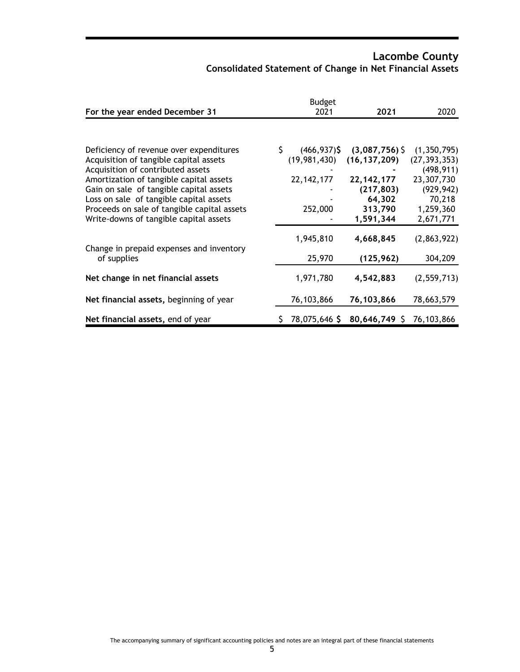# **Lacombe County Consolidated Statement of Change in Net Financial Assets**

|                                             |    | <b>Budget</b>   |                |                |
|---------------------------------------------|----|-----------------|----------------|----------------|
| For the year ended December 31              |    | 2021            | 2021           | 2020           |
|                                             |    |                 |                |                |
| Deficiency of revenue over expenditures     | \$ | $(466, 937)$ \$ | (3,087,756)    | (1, 350, 795)  |
| Acquisition of tangible capital assets      |    | (19, 981, 430)  | (16, 137, 209) | (27, 393, 353) |
| Acquisition of contributed assets           |    |                 |                | (498, 911)     |
| Amortization of tangible capital assets     |    | 22, 142, 177    | 22, 142, 177   | 23,307,730     |
| Gain on sale of tangible capital assets     |    |                 | (217, 803)     | (929, 942)     |
| Loss on sale of tangible capital assets     |    |                 | 64,302         | 70,218         |
| Proceeds on sale of tangible capital assets |    | 252,000         | 313,790        | 1,259,360      |
| Write-downs of tangible capital assets      |    |                 | 1,591,344      | 2,671,771      |
| Change in prepaid expenses and inventory    |    | 1,945,810       | 4,668,845      | (2,863,922)    |
| of supplies                                 |    | 25,970          | (125, 962)     | 304,209        |
| Net change in net financial assets          |    | 1,971,780       | 4,542,883      | (2, 559, 713)  |
| Net financial assets, beginning of year     |    | 76,103,866      | 76,103,866     | 78,663,579     |
| Net financial assets, end of year           | S. | 78,075,646 \$   | 80,646,749 \$  | 76,103,866     |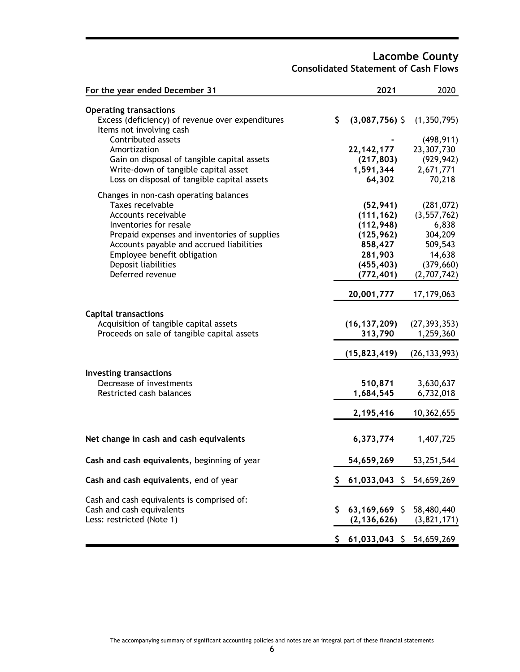### **Lacombe County Consolidated Statement of Cash Flows**

| For the year ended December 31                                                                                                                                                                                                                                                    | 2021                                                                                                  | 2020                                                                                              |
|-----------------------------------------------------------------------------------------------------------------------------------------------------------------------------------------------------------------------------------------------------------------------------------|-------------------------------------------------------------------------------------------------------|---------------------------------------------------------------------------------------------------|
| <b>Operating transactions</b><br>Excess (deficiency) of revenue over expenditures<br>Items not involving cash<br>Contributed assets<br>Amortization<br>Gain on disposal of tangible capital assets<br>Write-down of tangible capital asset                                        | \$<br>$(3,087,756)$ \$<br>22, 142, 177<br>(217, 803)<br>1,591,344                                     | (1,350,795)<br>(498, 911)<br>23,307,730<br>(929, 942)<br>2,671,771                                |
| Loss on disposal of tangible capital assets                                                                                                                                                                                                                                       | 64,302                                                                                                | 70,218                                                                                            |
| Changes in non-cash operating balances<br>Taxes receivable<br>Accounts receivable<br>Inventories for resale<br>Prepaid expenses and inventories of supplies<br>Accounts payable and accrued liabilities<br>Employee benefit obligation<br>Deposit liabilities<br>Deferred revenue | (52, 941)<br>(111, 162)<br>(112, 948)<br>(125, 962)<br>858,427<br>281,903<br>(455, 403)<br>(772, 401) | (281, 072)<br>(3, 557, 762)<br>6,838<br>304,209<br>509,543<br>14,638<br>(379, 660)<br>(2,707,742) |
|                                                                                                                                                                                                                                                                                   | 20,001,777                                                                                            | 17,179,063                                                                                        |
| <b>Capital transactions</b><br>Acquisition of tangible capital assets<br>Proceeds on sale of tangible capital assets                                                                                                                                                              | (16, 137, 209)<br>313,790<br>(15,823,419)                                                             | (27, 393, 353)<br>1,259,360<br>(26, 133, 993)                                                     |
| <b>Investing transactions</b><br>Decrease of investments<br>Restricted cash balances                                                                                                                                                                                              | 510,871<br>1,684,545<br>2,195,416                                                                     | 3,630,637<br>6,732,018<br>10,362,655                                                              |
| Net change in cash and cash equivalents                                                                                                                                                                                                                                           | 6,373,774                                                                                             | 1,407,725                                                                                         |
| Cash and cash equivalents, beginning of year                                                                                                                                                                                                                                      | 54,659,269                                                                                            | 53,251,544                                                                                        |
| Cash and cash equivalents, end of year                                                                                                                                                                                                                                            | 61,033,043 \$ 54,659,269<br>\$.                                                                       |                                                                                                   |
| Cash and cash equivalents is comprised of:<br>Cash and cash equivalents<br>Less: restricted (Note 1)                                                                                                                                                                              | 63,169,669 \$ 58,480,440<br>\$<br>$(2, 136, 626)$ $(3, 821, 171)$                                     |                                                                                                   |
|                                                                                                                                                                                                                                                                                   | $$61,033,043$$ $$54,659,269$                                                                          |                                                                                                   |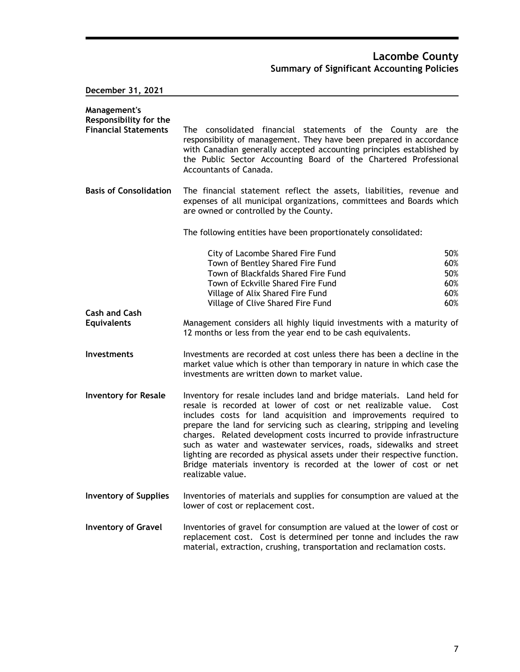**December 31, 2021**

| Management's<br>Responsibility for the<br><b>Financial Statements</b> | The consolidated financial statements of the County are the<br>responsibility of management. They have been prepared in accordance                                                                                                                                                                                                                                                                                                                                                                                                                                                                                   |                                        |
|-----------------------------------------------------------------------|----------------------------------------------------------------------------------------------------------------------------------------------------------------------------------------------------------------------------------------------------------------------------------------------------------------------------------------------------------------------------------------------------------------------------------------------------------------------------------------------------------------------------------------------------------------------------------------------------------------------|----------------------------------------|
|                                                                       | with Canadian generally accepted accounting principles established by<br>the Public Sector Accounting Board of the Chartered Professional<br>Accountants of Canada.                                                                                                                                                                                                                                                                                                                                                                                                                                                  |                                        |
| <b>Basis of Consolidation</b>                                         | The financial statement reflect the assets, liabilities, revenue and<br>expenses of all municipal organizations, committees and Boards which<br>are owned or controlled by the County.                                                                                                                                                                                                                                                                                                                                                                                                                               |                                        |
|                                                                       | The following entities have been proportionately consolidated:                                                                                                                                                                                                                                                                                                                                                                                                                                                                                                                                                       |                                        |
|                                                                       | City of Lacombe Shared Fire Fund<br>Town of Bentley Shared Fire Fund<br>Town of Blackfalds Shared Fire Fund<br>Town of Eckville Shared Fire Fund<br>Village of Alix Shared Fire Fund<br>Village of Clive Shared Fire Fund                                                                                                                                                                                                                                                                                                                                                                                            | 50%<br>60%<br>50%<br>60%<br>60%<br>60% |
| <b>Cash and Cash</b><br><b>Equivalents</b>                            | Management considers all highly liquid investments with a maturity of<br>12 months or less from the year end to be cash equivalents.                                                                                                                                                                                                                                                                                                                                                                                                                                                                                 |                                        |
| <b>Investments</b>                                                    | Investments are recorded at cost unless there has been a decline in the<br>market value which is other than temporary in nature in which case the<br>investments are written down to market value.                                                                                                                                                                                                                                                                                                                                                                                                                   |                                        |
| <b>Inventory for Resale</b>                                           | Inventory for resale includes land and bridge materials. Land held for<br>resale is recorded at lower of cost or net realizable value.<br>Cost<br>includes costs for land acquisition and improvements required to<br>prepare the land for servicing such as clearing, stripping and leveling<br>charges. Related development costs incurred to provide infrastructure<br>such as water and wastewater services, roads, sidewalks and street<br>lighting are recorded as physical assets under their respective function.<br>Bridge materials inventory is recorded at the lower of cost or net<br>realizable value. |                                        |
| <b>Inventory of Supplies</b>                                          | Inventories of materials and supplies for consumption are valued at the<br>lower of cost or replacement cost.                                                                                                                                                                                                                                                                                                                                                                                                                                                                                                        |                                        |
| <b>Inventory of Gravel</b>                                            | Inventories of gravel for consumption are valued at the lower of cost or<br>replacement cost. Cost is determined per tonne and includes the raw<br>material, extraction, crushing, transportation and reclamation costs.                                                                                                                                                                                                                                                                                                                                                                                             |                                        |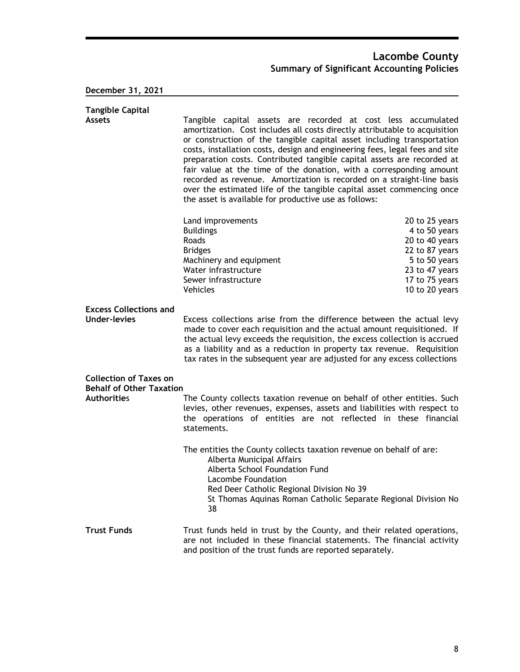# **December 31, 2021**

| <b>Tangible Capital</b><br><b>Assets</b>                         | Tangible capital assets are recorded at cost less accumulated<br>amortization. Cost includes all costs directly attributable to acquisition<br>or construction of the tangible capital asset including transportation<br>costs, installation costs, design and engineering fees, legal fees and site<br>preparation costs. Contributed tangible capital assets are recorded at<br>fair value at the time of the donation, with a corresponding amount<br>recorded as revenue. Amortization is recorded on a straight-line basis<br>over the estimated life of the tangible capital asset commencing once<br>the asset is available for productive use as follows: |                                                                                                                                            |  |
|------------------------------------------------------------------|-------------------------------------------------------------------------------------------------------------------------------------------------------------------------------------------------------------------------------------------------------------------------------------------------------------------------------------------------------------------------------------------------------------------------------------------------------------------------------------------------------------------------------------------------------------------------------------------------------------------------------------------------------------------|--------------------------------------------------------------------------------------------------------------------------------------------|--|
|                                                                  | Land improvements<br><b>Buildings</b><br>Roads<br><b>Bridges</b><br>Machinery and equipment<br>Water infrastructure<br>Sewer infrastructure<br><b>Vehicles</b>                                                                                                                                                                                                                                                                                                                                                                                                                                                                                                    | 20 to 25 years<br>4 to 50 years<br>20 to 40 years<br>22 to 87 years<br>5 to 50 years<br>23 to 47 years<br>17 to 75 years<br>10 to 20 years |  |
| <b>Excess Collections and</b><br><b>Under-levies</b>             | Excess collections arise from the difference between the actual levy<br>made to cover each requisition and the actual amount requisitioned. If<br>the actual levy exceeds the requisition, the excess collection is accrued<br>as a liability and as a reduction in property tax revenue. Requisition<br>tax rates in the subsequent year are adjusted for any excess collections                                                                                                                                                                                                                                                                                 |                                                                                                                                            |  |
| <b>Collection of Taxes on</b><br><b>Behalf of Other Taxation</b> |                                                                                                                                                                                                                                                                                                                                                                                                                                                                                                                                                                                                                                                                   |                                                                                                                                            |  |
| <b>Authorities</b>                                               | The County collects taxation revenue on behalf of other entities. Such<br>levies, other revenues, expenses, assets and liabilities with respect to<br>the operations of entities are not reflected in these financial<br>statements.                                                                                                                                                                                                                                                                                                                                                                                                                              |                                                                                                                                            |  |
|                                                                  | The entities the County collects taxation revenue on behalf of are:<br>Alberta Municipal Affairs<br>Alberta School Foundation Fund<br>Lacombe Foundation<br>Red Deer Catholic Regional Division No 39<br>St Thomas Aquinas Roman Catholic Separate Regional Division No<br>38                                                                                                                                                                                                                                                                                                                                                                                     |                                                                                                                                            |  |
| <b>Trust Funds</b>                                               | Trust funds held in trust by the County, and their related operations,<br>are not included in these financial statements. The financial activity<br>and position of the trust funds are reported separately.                                                                                                                                                                                                                                                                                                                                                                                                                                                      |                                                                                                                                            |  |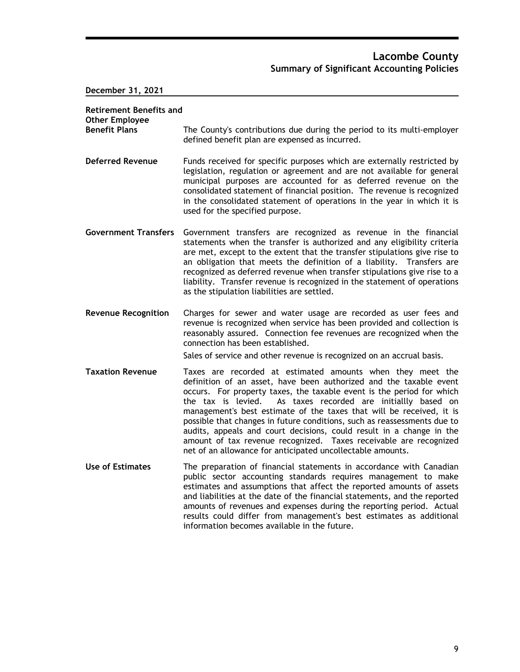**December 31, 2021**

| <b>Retirement Benefits and</b><br><b>Other Employee</b> |                                                                                                                                                                                                                                                                                                                                                                                                                                                                                                                                                                                                                                             |
|---------------------------------------------------------|---------------------------------------------------------------------------------------------------------------------------------------------------------------------------------------------------------------------------------------------------------------------------------------------------------------------------------------------------------------------------------------------------------------------------------------------------------------------------------------------------------------------------------------------------------------------------------------------------------------------------------------------|
| <b>Benefit Plans</b>                                    | The County's contributions due during the period to its multi-employer<br>defined benefit plan are expensed as incurred.                                                                                                                                                                                                                                                                                                                                                                                                                                                                                                                    |
| <b>Deferred Revenue</b>                                 | Funds received for specific purposes which are externally restricted by<br>legislation, regulation or agreement and are not available for general<br>municipal purposes are accounted for as deferred revenue on the<br>consolidated statement of financial position. The revenue is recognized<br>in the consolidated statement of operations in the year in which it is<br>used for the specified purpose.                                                                                                                                                                                                                                |
| <b>Government Transfers</b>                             | Government transfers are recognized as revenue in the financial<br>statements when the transfer is authorized and any eligibility criteria<br>are met, except to the extent that the transfer stipulations give rise to<br>an obligation that meets the definition of a liability. Transfers are<br>recognized as deferred revenue when transfer stipulations give rise to a<br>liability. Transfer revenue is recognized in the statement of operations<br>as the stipulation liabilities are settled.                                                                                                                                     |
| <b>Revenue Recognition</b>                              | Charges for sewer and water usage are recorded as user fees and<br>revenue is recognized when service has been provided and collection is<br>reasonably assured. Connection fee revenues are recognized when the<br>connection has been established.                                                                                                                                                                                                                                                                                                                                                                                        |
|                                                         | Sales of service and other revenue is recognized on an accrual basis.                                                                                                                                                                                                                                                                                                                                                                                                                                                                                                                                                                       |
| <b>Taxation Revenue</b>                                 | Taxes are recorded at estimated amounts when they meet the<br>definition of an asset, have been authorized and the taxable event<br>occurs. For property taxes, the taxable event is the period for which<br>the tax is levied.<br>As taxes recorded are initiallly based on<br>management's best estimate of the taxes that will be received, it is<br>possible that changes in future conditions, such as reassessments due to<br>audits, appeals and court decisions, could result in a change in the<br>amount of tax revenue recognized. Taxes receivable are recognized<br>net of an allowance for anticipated uncollectable amounts. |
| <b>Use of Estimates</b>                                 | The preparation of financial statements in accordance with Canadian<br>public sector accounting standards requires management to make<br>estimates and assumptions that affect the reported amounts of assets<br>and liabilities at the date of the financial statements, and the reported<br>amounts of revenues and expenses during the reporting period. Actual<br>results could differ from management's best estimates as additional<br>information becomes available in the future.                                                                                                                                                   |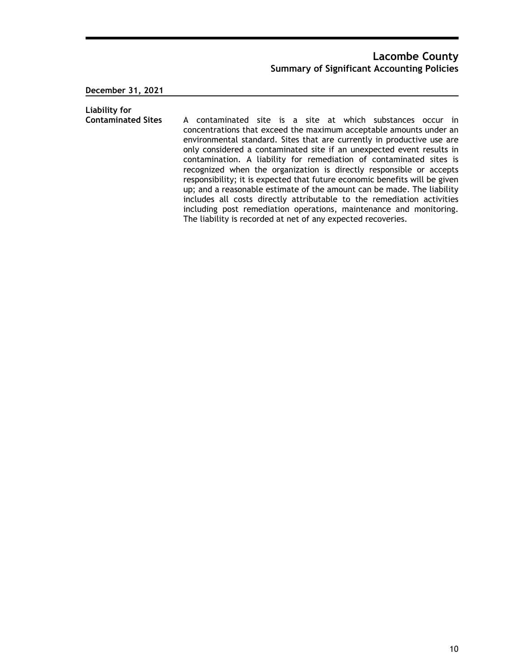**December 31, 2021**

**Liability for**  A contaminated site is a site at which substances occur in concentrations that exceed the maximum acceptable amounts under an environmental standard. Sites that are currently in productive use are only considered a contaminated site if an unexpected event results in contamination. A liability for remediation of contaminated sites is recognized when the organization is directly responsible or accepts responsibility; it is expected that future economic benefits will be given up; and a reasonable estimate of the amount can be made. The liability includes all costs directly attributable to the remediation activities including post remediation operations, maintenance and monitoring. The liability is recorded at net of any expected recoveries.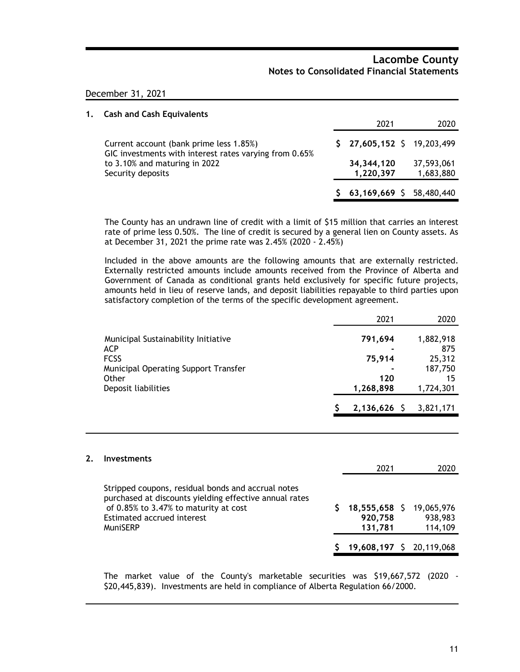### December 31, 2021

| 1. | <b>Cash and Cash Equivalents</b>                                                                  |                              |                         |
|----|---------------------------------------------------------------------------------------------------|------------------------------|-------------------------|
|    |                                                                                                   | 2021                         | 2020                    |
|    | Current account (bank prime less 1.85%)<br>GIC investments with interest rates varying from 0.65% | $$27,605,152$$ $$19,203,499$ |                         |
|    | to 3.10% and maturing in 2022<br>Security deposits                                                | 34, 344, 120<br>1,220,397    | 37,593,061<br>1,683,880 |
|    |                                                                                                   | $63,169,669$ \$              | 58,480,440              |

The County has an undrawn line of credit with a limit of \$15 million that carries an interest rate of prime less 0.50%. The line of credit is secured by a general lien on County assets. As at December 31, 2021 the prime rate was 2.45% (2020 - 2.45%)

Included in the above amounts are the following amounts that are externally restricted. Externally restricted amounts include amounts received from the Province of Alberta and Government of Canada as conditional grants held exclusively for specific future projects, amounts held in lieu of reserve lands, and deposit liabilities repayable to third parties upon satisfactory completion of the terms of the specific development agreement.

|                                                   | 2021           | 2020             |
|---------------------------------------------------|----------------|------------------|
| Municipal Sustainability Initiative<br><b>ACP</b> | 791,694        | 1,882,918<br>875 |
| <b>FCSS</b>                                       | 75,914         | 25,312           |
| Municipal Operating Support Transfer              |                | 187,750          |
| Other                                             | 120            | 15               |
| Deposit liabilities                               | 1,268,898      | 1,724,301        |
|                                                   | $2,136,626$ \$ | 3,821,171        |

#### **2. Investments**

|                                                                                                                                                                                                 | 2021                                           | 2020               |
|-------------------------------------------------------------------------------------------------------------------------------------------------------------------------------------------------|------------------------------------------------|--------------------|
| Stripped coupons, residual bonds and accrual notes<br>purchased at discounts yielding effective annual rates<br>of 0.85% to 3.47% to maturity at cost<br>Estimated accrued interest<br>MuniSERP | 18,555,658 \$ 19,065,976<br>920,758<br>131.781 | 938,983<br>114,109 |
|                                                                                                                                                                                                 | 19,608,197 \$ 20,119,068                       |                    |

The market value of the County's marketable securities was \$19,667,572 (2020 - \$20,445,839). Investments are held in compliance of Alberta Regulation 66/2000.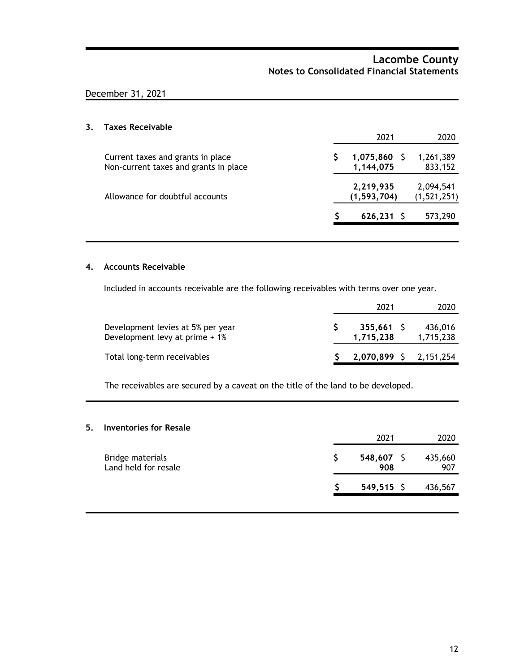# December 31, 2021

# **3. Taxes Receivable**

|                                                                            | 2021                        | 2020                     |
|----------------------------------------------------------------------------|-----------------------------|--------------------------|
| Current taxes and grants in place<br>Non-current taxes and grants in place | $1,075,860$ \$<br>1,144,075 | 1,261,389<br>833,152     |
| Allowance for doubtful accounts                                            | 2,219,935<br>(1, 593, 704)  | 2,094,541<br>(1,521,251) |
|                                                                            | $626, 231$ \$               | 573,290                  |
|                                                                            |                             |                          |

### **4. Accounts Receivable**

Included in accounts receivable are the following receivables with terms over one year.

|                                                                     | 2021                   | 2020                 |
|---------------------------------------------------------------------|------------------------|----------------------|
| Development levies at 5% per year<br>Development levy at prime + 1% | 355,661 S<br>1,715,238 | 436,016<br>1,715,238 |
| Total long-term receivables                                         | 2,070,899 \$ 2,151,254 |                      |

The receivables are secured by a caveat on the title of the land to be developed.

#### **5. Inventories for Resale**

|                                          | 2021                | 2020           |
|------------------------------------------|---------------------|----------------|
| Bridge materials<br>Land held for resale | $548,607$ \$<br>908 | 435,660<br>907 |
|                                          | $549,515$ \$        | 436,567        |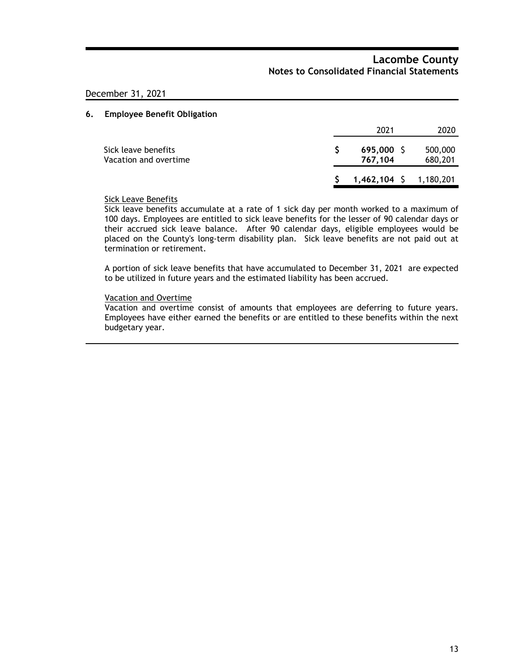### December 31, 2021

#### **6. Employee Benefit Obligation**

|                                              | 2021                      | 2020               |
|----------------------------------------------|---------------------------|--------------------|
| Sick leave benefits<br>Vacation and overtime | 695,000 S<br>767.104      | 500,000<br>680,201 |
|                                              | $$1,462,104$ $$1,180,201$ |                    |

### Sick Leave Benefits

Sick leave benefits accumulate at a rate of 1 sick day per month worked to a maximum of 100 days. Employees are entitled to sick leave benefits for the lesser of 90 calendar days or their accrued sick leave balance. After 90 calendar days, eligible employees would be placed on the County's long-term disability plan. Sick leave benefits are not paid out at termination or retirement.

A portion of sick leave benefits that have accumulated to December 31, 2021 are expected to be utilized in future years and the estimated liability has been accrued.

#### Vacation and Overtime

Vacation and overtime consist of amounts that employees are deferring to future years. Employees have either earned the benefits or are entitled to these benefits within the next budgetary year.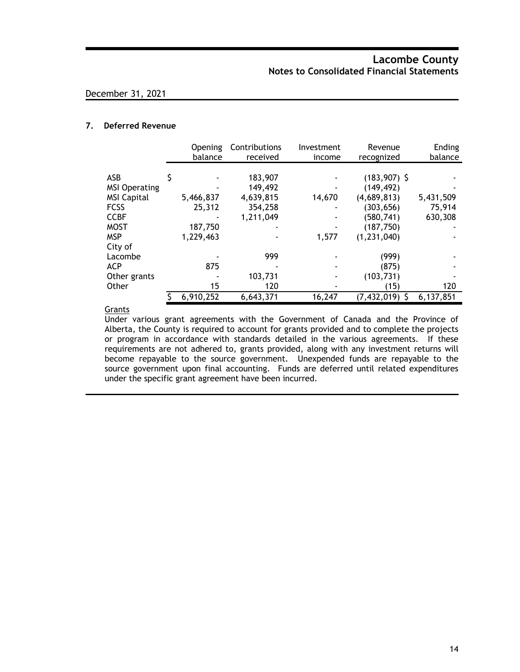### **7. Deferred Revenue**

|                      | Opening<br>balance | Contributions<br>received | Investment<br>income | Revenue<br>recognized | Ending<br>balance |
|----------------------|--------------------|---------------------------|----------------------|-----------------------|-------------------|
|                      |                    |                           |                      |                       |                   |
| ASB                  |                    | 183,907                   |                      | $(183,907)$ \$        |                   |
| <b>MSI Operating</b> |                    | 149,492                   |                      | (149, 492)            |                   |
| <b>MSI Capital</b>   | 5,466,837          | 4,639,815                 | 14,670               | (4,689,813)           | 5,431,509         |
| <b>FCSS</b>          | 25,312             | 354,258                   |                      | (303, 656)            | 75,914            |
| <b>CCBF</b>          |                    | 1,211,049                 |                      | (580, 741)            | 630,308           |
| <b>MOST</b>          | 187,750            |                           |                      | (187, 750)            |                   |
| <b>MSP</b>           | 1,229,463          |                           | 1,577                | (1, 231, 040)         |                   |
| City of              |                    |                           |                      |                       |                   |
| Lacombe              |                    | 999                       |                      | (999)                 |                   |
| <b>ACP</b>           | 875                |                           |                      | (875)                 |                   |
| Other grants         |                    | 103,731                   |                      | (103, 731)            |                   |
| Other                | 15                 | 120                       |                      | (15)                  | 120               |
|                      | 6,910,252          | 6,643,371                 | 16,247               | (7,432,019)           | 6,137,851         |

### **Grants**

Under various grant agreements with the Government of Canada and the Province of Alberta, the County is required to account for grants provided and to complete the projects or program in accordance with standards detailed in the various agreements. If these requirements are not adhered to, grants provided, along with any investment returns will become repayable to the source government. Unexpended funds are repayable to the source government upon final accounting. Funds are deferred until related expenditures under the specific grant agreement have been incurred.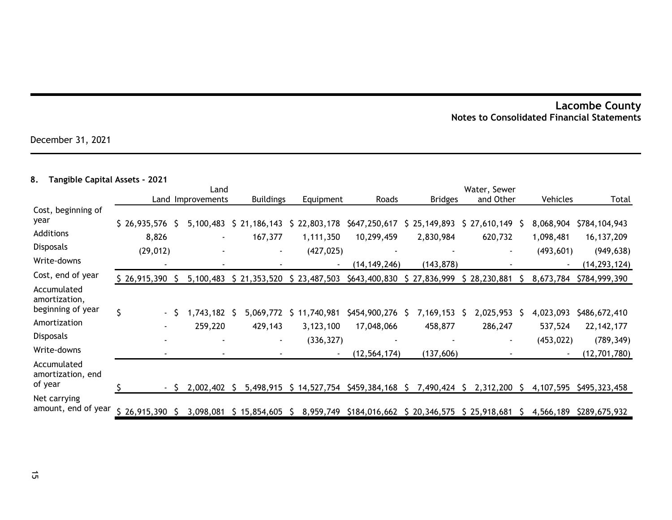December 31, 2021

# **8. Tangible Capital Assets - 2021**

|                                                   |                       | Land |                   |  |                         |            |                           | Water, Sewer                                        |              |                         |    |                         |    |                        |                               |
|---------------------------------------------------|-----------------------|------|-------------------|--|-------------------------|------------|---------------------------|-----------------------------------------------------|--------------|-------------------------|----|-------------------------|----|------------------------|-------------------------------|
|                                                   |                       |      | Land Improvements |  | <b>Buildings</b>        |            | Equipment                 | Roads                                               |              | <b>Bridges</b>          |    | and Other               |    | Vehicles               | Total                         |
| Cost, beginning of<br>year                        |                       |      |                   |  |                         |            |                           |                                                     |              |                         |    |                         |    |                        |                               |
| Additions                                         | \$26,935,576<br>8,826 |      | 5,100,483         |  | \$21,186,143<br>167,377 |            | \$22,803,178<br>1,111,350 | \$647,250,617<br>10,299,459                         | Ş.           | 25,149,893<br>2,830,984 |    | \$27,610,149<br>620,732 | -S | 8,068,904<br>1,098,481 | \$784,104,943<br>16, 137, 209 |
| <b>Disposals</b>                                  | (29, 012)             |      |                   |  |                         |            | (427, 025)                |                                                     |              |                         |    |                         |    | (493, 601)             | (949, 638)                    |
| Write-downs                                       |                       |      |                   |  |                         |            |                           | (14, 149, 246)                                      |              | (143, 878)              |    |                         |    |                        | (14,293,124)                  |
| Cost, end of year                                 | $$26,915,390$ \$      |      | 5,100,483         |  | \$21,353,520            |            | \$23,487,503              | \$643,400,830                                       |              | \$27,836,999            |    | \$28,230,881            |    | 8,673,784              | \$784,999,390                 |
| Accumulated<br>amortization,<br>beginning of year |                       |      |                   |  |                         |            |                           |                                                     |              |                         |    |                         |    |                        |                               |
|                                                   | \$<br>- S             |      | 1,743,182         |  | 5,069,772               | \$         | 11,740,981                | \$454,900,276                                       | <sub>S</sub> | 7,169,153               |    | 2,025,953               |    | 4,023,093              | \$486,672,410                 |
| Amortization                                      |                       |      | 259,220           |  | 429,143                 |            | 3,123,100                 | 17,048,066                                          |              | 458,877                 |    | 286,247                 |    | 537,524                | 22, 142, 177                  |
| Disposals                                         |                       |      |                   |  |                         |            | (336, 327)                |                                                     |              |                         |    |                         |    | (453, 022)             | (789, 349)                    |
| Write-downs                                       |                       |      |                   |  |                         |            |                           | (12, 564, 174)                                      |              | (137, 606)              |    |                         |    |                        | (12,701,780)                  |
| Accumulated<br>amortization, end<br>of year       |                       |      |                   |  |                         |            |                           |                                                     |              |                         |    |                         |    |                        |                               |
|                                                   |                       | - S  | 2,002,402         |  | 5,498,915               |            | \$14,527,754              | \$459,384,168                                       | S            | 7,490,424               | -S | 2,312,200               |    | 4,107,595              | \$495,323,458                 |
| Net carrying<br>amount, end of year               | $$26,915,390$ \$      |      | 3,098,081         |  | \$15,854,605            | $\sqrt{5}$ |                           | 8,959,749 \$184,016,662 \$ 20,346,575 \$ 25,918,681 |              |                         |    |                         | S. | 4,566,189              | \$289,675,932                 |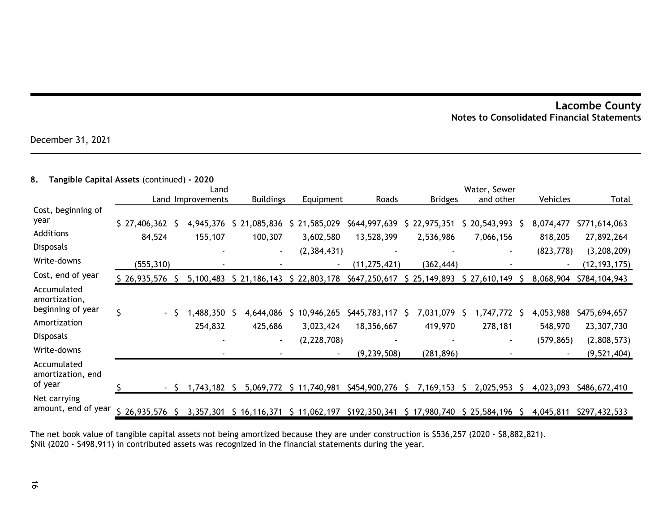December 31, 2021

### **8. Tangible Capital Assets** (continued) **- 2020**

|                                                   |              | Land |                   |      |                  |  |               | Water, Sewer                                        |   |                            |    |                |              |                          |                |
|---------------------------------------------------|--------------|------|-------------------|------|------------------|--|---------------|-----------------------------------------------------|---|----------------------------|----|----------------|--------------|--------------------------|----------------|
|                                                   |              |      | Land Improvements |      | <b>Buildings</b> |  | Equipment     | Roads                                               |   | <b>Bridges</b>             |    | and other      |              | Vehicles                 | Total          |
| Cost, beginning of<br>year                        |              |      |                   |      |                  |  |               |                                                     |   |                            |    |                |              |                          |                |
| Additions                                         | \$27,406,362 |      | 4,945,376         | \$21 | ,085,836         |  | \$21,585,029  | \$644,997,639                                       |   | \$22,975,351               | Ş. | 20,543,993     | <sub>S</sub> | 8,074,477                | \$771,614,063  |
|                                                   | 84,524       |      | 155,107           |      | 100,307          |  | 3,602,580     | 13,528,399                                          |   | 2,536,986                  |    | 7,066,156      |              | 818,205                  | 27,892,264     |
| <b>Disposals</b>                                  |              |      |                   |      |                  |  | (2, 384, 431) |                                                     |   |                            |    | $\blacksquare$ |              | (823, 778)               | (3, 208, 209)  |
| Write-downs                                       | (555, 310)   |      |                   |      |                  |  |               | (11, 275, 421)                                      |   | (362, 444)                 |    |                |              |                          | (12, 193, 175) |
| Cost, end of year                                 | \$26,935,576 |      | 5,100,483         |      | \$21,186,143     |  | \$22,803,178  | \$647,250,617                                       |   | \$25,149,893               |    | \$27,610,149   |              | 8,068,904                | \$784,104,943  |
| Accumulated<br>amortization,<br>beginning of year |              |      |                   |      |                  |  |               |                                                     |   |                            |    |                |              |                          |                |
|                                                   | \$<br>- S    |      | ,488,350          |      | 4,644,086        |  | 10,946,265    | \$445,783,117                                       | S | 7,031,079                  |    | ,747,772       | S            | 4,053,988                | \$475,694,657  |
| Amortization                                      |              |      | 254,832           |      | 425,686          |  | 3,023,424     | 18,356,667                                          |   | 419,970                    |    | 278,181        |              | 548,970                  | 23,307,730     |
| <b>Disposals</b>                                  |              |      |                   |      |                  |  | (2, 228, 708) |                                                     |   |                            |    |                |              | (579, 865)               | (2,808,573)    |
| Write-downs                                       |              |      |                   |      |                  |  |               | (9, 239, 508)                                       |   | (281, 896)                 |    |                |              | $\overline{\phantom{a}}$ | (9, 521, 404)  |
| Accumulated<br>amortization, end<br>of year       |              |      |                   |      |                  |  |               |                                                     |   |                            |    |                |              |                          |                |
|                                                   |              | - S  | ,743,182          |      | 5,069,772        |  | \$11,740,981  | \$454,900,276                                       | S | 7,169,153                  |    | 2,025,953      |              | 4,023,093                | \$486,672,410  |
| Net carrying<br>amount, end of year               | \$26,935,576 |      |                   |      |                  |  |               | 3,357,301 \$ 16,116,371 \$ 11,062,197 \$192,350,341 |   | $$17,980,740 \$25,584,196$ |    |                |              | 4,045,811                | \$297,432,533  |

The net book value of tangible capital assets not being amortized because they are under construction is \$536,257 (2020 - \$8,882,821). \$Nil (2020 - \$498,911) in contributed assets was recognized in the financial statements during the year.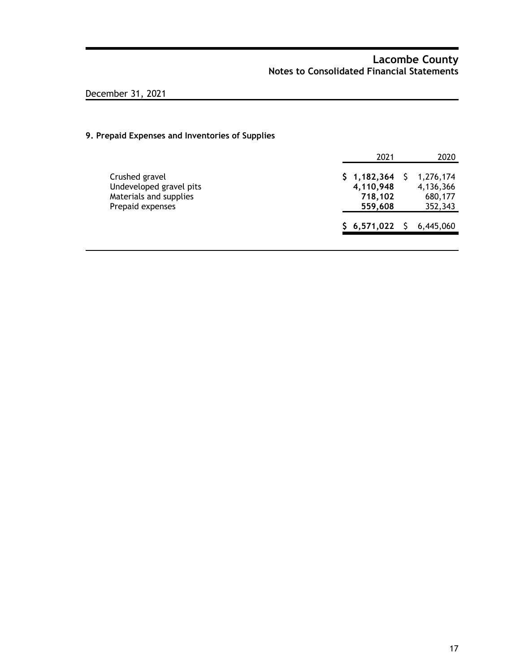# December 31, 2021

### **9. Prepaid Expenses and Inventories of Supplies**

|                                                                                         | 2021                                           | 2020                                         |
|-----------------------------------------------------------------------------------------|------------------------------------------------|----------------------------------------------|
| Crushed gravel<br>Undeveloped gravel pits<br>Materials and supplies<br>Prepaid expenses | \$1,182,364<br>4,110,948<br>718,102<br>559,608 | 1,276,174<br>4,136,366<br>680,177<br>352,343 |
|                                                                                         | \$6,571,022\$                                  | 6,445,060                                    |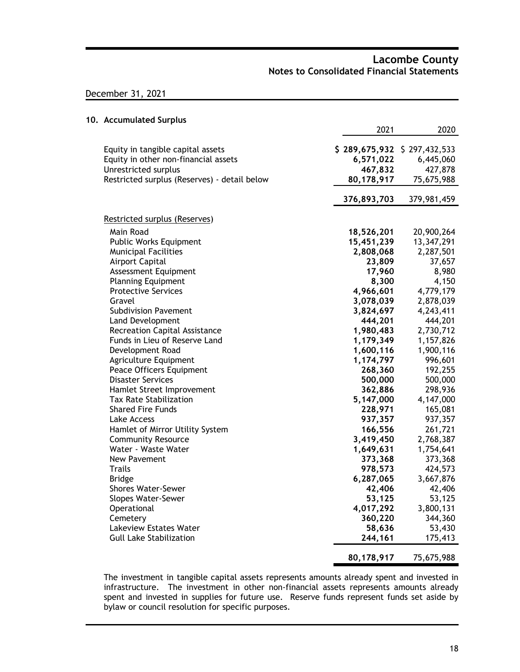### December 31, 2021

### **10. Accumulated Surplus**

|                                                                           | 2021        | 2020                                    |
|---------------------------------------------------------------------------|-------------|-----------------------------------------|
| Equity in tangible capital assets<br>Equity in other non-financial assets | 6,571,022   | \$289,675,932\$327,432,533<br>6,445,060 |
| Unrestricted surplus                                                      | 467,832     | 427,878                                 |
| Restricted surplus (Reserves) - detail below                              | 80,178,917  | 75,675,988                              |
|                                                                           | 376,893,703 | 379,981,459                             |
| Restricted surplus (Reserves)                                             |             |                                         |
| Main Road                                                                 | 18,526,201  | 20,900,264                              |
| Public Works Equipment                                                    | 15,451,239  | 13,347,291                              |
| <b>Municipal Facilities</b>                                               | 2,808,068   | 2,287,501                               |
| Airport Capital                                                           | 23,809      | 37,657                                  |
| Assessment Equipment                                                      | 17,960      | 8,980                                   |
| <b>Planning Equipment</b>                                                 | 8,300       | 4,150                                   |
| <b>Protective Services</b>                                                | 4,966,601   | 4,779,179                               |
| Gravel                                                                    | 3,078,039   | 2,878,039                               |
| <b>Subdivision Pavement</b>                                               | 3,824,697   | 4,243,411                               |
| <b>Land Development</b>                                                   | 444,201     | 444,201                                 |
| <b>Recreation Capital Assistance</b>                                      | 1,980,483   | 2,730,712                               |
| Funds in Lieu of Reserve Land                                             | 1,179,349   | 1,157,826                               |
| Development Road                                                          | 1,600,116   | 1,900,116                               |
| Agriculture Equipment                                                     | 1,174,797   | 996,601                                 |
| Peace Officers Equipment                                                  | 268,360     | 192,255                                 |
| <b>Disaster Services</b>                                                  | 500,000     | 500,000                                 |
| Hamlet Street Improvement                                                 | 362,886     | 298,936                                 |
| <b>Tax Rate Stabilization</b>                                             | 5,147,000   | 4,147,000                               |
| <b>Shared Fire Funds</b>                                                  | 228,971     | 165,081                                 |
| Lake Access                                                               | 937,357     | 937,357                                 |
| Hamlet of Mirror Utility System                                           | 166,556     | 261,721                                 |
| <b>Community Resource</b>                                                 | 3,419,450   | 2,768,387                               |
| Water - Waste Water                                                       | 1,649,631   | 1,754,641                               |
| New Pavement                                                              | 373,368     | 373,368                                 |
| Trails                                                                    | 978,573     | 424,573                                 |
| <b>Bridge</b>                                                             | 6,287,065   | 3,667,876                               |
| <b>Shores Water-Sewer</b>                                                 | 42,406      | 42,406                                  |
| Slopes Water-Sewer                                                        | 53,125      | 53,125                                  |
| Operational                                                               | 4,017,292   | 3,800,131                               |
| Cemetery                                                                  | 360,220     | 344,360                                 |
| Lakeview Estates Water                                                    | 58,636      | 53,430                                  |
| <b>Gull Lake Stabilization</b>                                            | 244,161     | 175,413                                 |
|                                                                           | 80,178,917  | 75,675,988                              |

The investment in tangible capital assets represents amounts already spent and invested in infrastructure. The investment in other non-financial assets represents amounts already spent and invested in supplies for future use. Reserve funds represent funds set aside by bylaw or council resolution for specific purposes.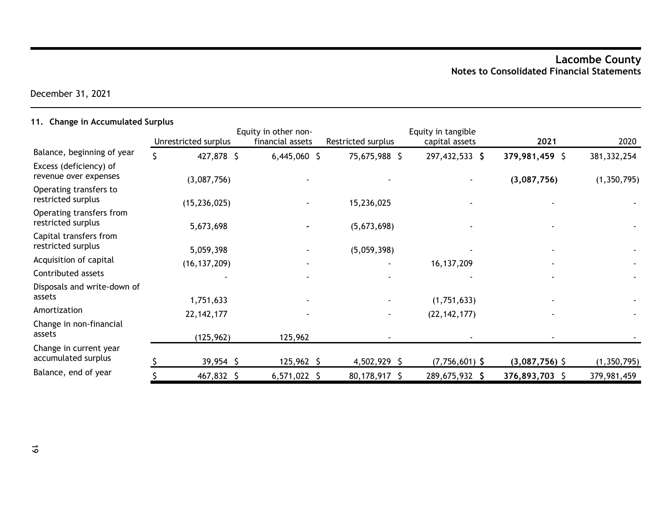December 31, 2021

# **11. Change in Accumulated Surplus**

|                                                 | Unrestricted surplus | Equity in other non-<br>financial assets | Restricted surplus | Equity in tangible<br>capital assets | 2021             | 2020          |
|-------------------------------------------------|----------------------|------------------------------------------|--------------------|--------------------------------------|------------------|---------------|
| Balance, beginning of year                      | 427,878 \$           | $6,445,060$ \$                           | 75,675,988 \$      | 297,432,533 \$                       | 379,981,459 \$   | 381, 332, 254 |
| Excess (deficiency) of<br>revenue over expenses | (3,087,756)          |                                          |                    |                                      | (3,087,756)      | (1, 350, 795) |
| Operating transfers to<br>restricted surplus    | (15, 236, 025)       |                                          | 15,236,025         |                                      |                  |               |
| Operating transfers from<br>restricted surplus  | 5,673,698            |                                          | (5,673,698)        |                                      |                  |               |
| Capital transfers from<br>restricted surplus    | 5,059,398            |                                          | (5,059,398)        |                                      |                  |               |
| Acquisition of capital                          | (16, 137, 209)       |                                          |                    | 16, 137, 209                         |                  |               |
| Contributed assets                              |                      |                                          |                    |                                      |                  |               |
| Disposals and write-down of                     |                      |                                          |                    |                                      |                  |               |
| assets                                          | 1,751,633            |                                          |                    | (1,751,633)                          |                  |               |
| Amortization                                    | 22, 142, 177         |                                          |                    | (22, 142, 177)                       |                  |               |
| Change in non-financial<br>assets               | (125, 962)           | 125,962                                  |                    |                                      |                  |               |
| Change in current year<br>accumulated surplus   | 39,954 \$            | $125,962$ \$                             | $4,502,929$ \$     | $(7,756,601)$ \$                     | $(3,087,756)$ \$ | (1, 350, 795) |
| Balance, end of year                            | 467,832 \$           | $6,571,022$ \$                           | 80,178,917 \$      | 289,675,932 \$                       | 376,893,703 \$   | 379,981,459   |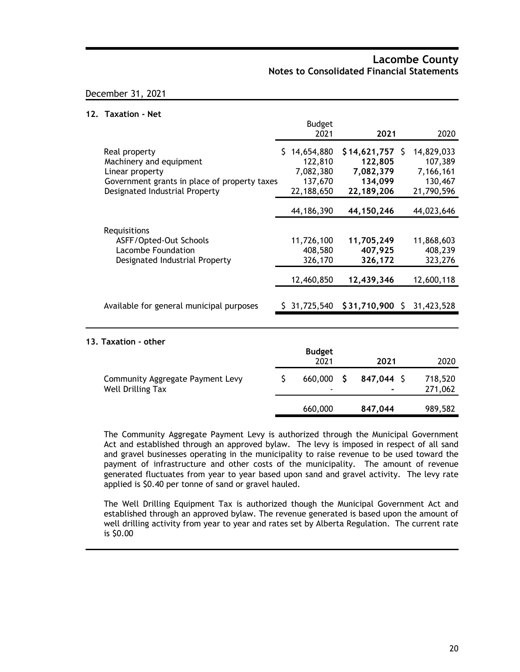### December 31, 2021

### **12. Taxation - Net**

|                                                                                                                                               | <b>Budget</b><br>2021                                         | 2021                                                               | 2020                                                        |
|-----------------------------------------------------------------------------------------------------------------------------------------------|---------------------------------------------------------------|--------------------------------------------------------------------|-------------------------------------------------------------|
| Real property<br>Machinery and equipment<br>Linear property<br>Government grants in place of property taxes<br>Designated Industrial Property | \$14,654,880<br>122,810<br>7,082,380<br>137,670<br>22,188,650 | \$14,621,757<br>S<br>122,805<br>7,082,379<br>134,099<br>22,189,206 | 14,829,033<br>107,389<br>7,166,161<br>130,467<br>21,790,596 |
|                                                                                                                                               | 44,186,390                                                    | 44,150,246                                                         | 44,023,646                                                  |
| Requisitions<br>ASFF/Opted-Out Schools<br>Lacombe Foundation<br>Designated Industrial Property                                                | 11,726,100<br>408,580<br>326,170<br>12,460,850                | 11,705,249<br>407,925<br>326,172<br>12,439,346                     | 11,868,603<br>408,239<br>323,276<br>12,600,118              |
| Available for general municipal purposes                                                                                                      | \$31,725,540                                                  | $$31,710,900 \ $31,423,528$                                        |                                                             |
|                                                                                                                                               |                                                               |                                                                    |                                                             |
| 13. Taxation - other                                                                                                                          | <b>Budget</b><br>2021                                         | 2021                                                               | 2020                                                        |

|                                                       | 2021    |     | 2021       | 2020               |
|-------------------------------------------------------|---------|-----|------------|--------------------|
| Community Aggregate Payment Levy<br>Well Drilling Tax | 660,000 | - S | 847,044 \$ | 718,520<br>271,062 |
|                                                       | 660,000 |     | 847,044    | 989,582            |

The Community Aggregate Payment Levy is authorized through the Municipal Government Act and established through an approved bylaw. The levy is imposed in respect of all sand and gravel businesses operating in the municipality to raise revenue to be used toward the payment of infrastructure and other costs of the municipality. The amount of revenue generated fluctuates from year to year based upon sand and gravel activity. The levy rate applied is \$0.40 per tonne of sand or gravel hauled.

The Well Drilling Equipment Tax is authorized though the Municipal Government Act and established through an approved bylaw. The revenue generated is based upon the amount of well drilling activity from year to year and rates set by Alberta Regulation. The current rate is \$0.00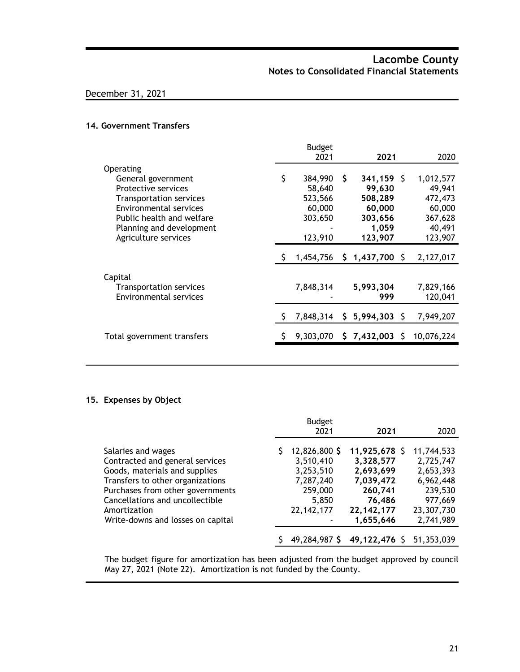### December 31, 2021

#### **14. Government Transfers**

|                                |      | <b>Budget</b> |    |                 |    |            |
|--------------------------------|------|---------------|----|-----------------|----|------------|
|                                | 2021 |               |    | 2021            |    | 2020       |
| Operating                      |      |               |    |                 |    |            |
| General government             | \$   | 384,990       | S. | $341,159$ \$    |    | 1,012,577  |
| Protective services            |      | 58,640        |    | 99,630          |    | 49,941     |
| <b>Transportation services</b> |      | 523,566       |    | 508,289         |    | 472,473    |
| <b>Environmental services</b>  |      | 60,000        |    | 60,000          |    | 60,000     |
| Public health and welfare      |      | 303,650       |    | 303,656         |    | 367,628    |
| Planning and development       |      |               |    | 1,059           |    | 40,491     |
| Agriculture services           |      | 123,910       |    | 123,907         |    | 123,907    |
|                                |      |               |    |                 |    |            |
|                                |      | 1,454,756     |    | $$1,437,700$ \$ |    | 2,127,017  |
| Capital                        |      |               |    |                 |    |            |
| Transportation services        |      | 7,848,314     |    | 5,993,304       |    | 7,829,166  |
| <b>Environmental services</b>  |      |               |    | 999             |    | 120,041    |
|                                |      | 7,848,314     | S. | 5,994,303       | -S | 7,949,207  |
| Total government transfers     |      | 9,303,070     | S. | 7,432,003 \$    |    | 10,076,224 |
|                                |      |               |    |                 |    |            |

### **15. Expenses by Object**

|                                                                                                                                                                                                                                                        | <b>Budget</b>                                                                            |                                                                                                        |                                                                                                    |
|--------------------------------------------------------------------------------------------------------------------------------------------------------------------------------------------------------------------------------------------------------|------------------------------------------------------------------------------------------|--------------------------------------------------------------------------------------------------------|----------------------------------------------------------------------------------------------------|
|                                                                                                                                                                                                                                                        | 2021                                                                                     | 2021                                                                                                   | 2020                                                                                               |
| Salaries and wages<br>Contracted and general services<br>Goods, materials and supplies<br>Transfers to other organizations<br>Purchases from other governments<br>Cancellations and uncollectible<br>Amortization<br>Write-downs and losses on capital | 12,826,800 \$<br>3,510,410<br>3,253,510<br>7,287,240<br>259,000<br>5,850<br>22, 142, 177 | 11,925,678 \$<br>3,328,577<br>2,693,699<br>7,039,472<br>260,741<br>76,486<br>22, 142, 177<br>1,655,646 | 11,744,533<br>2,725,747<br>2,653,393<br>6,962,448<br>239,530<br>977,669<br>23,307,730<br>2,741,989 |
|                                                                                                                                                                                                                                                        | 49,284,987 \$                                                                            | 49,122,476 \$                                                                                          | 51,353,039                                                                                         |

The budget figure for amortization has been adjusted from the budget approved by council May 27, 2021 (Note 22). Amortization is not funded by the County.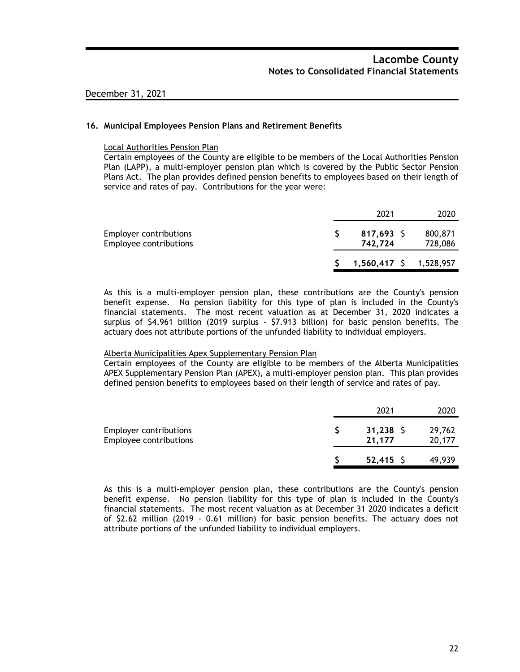#### **16. Municipal Employees Pension Plans and Retirement Benefits**

#### Local Authorities Pension Plan

Certain employees of the County are eligible to be members of the Local Authorities Pension Plan (LAPP), a multi-employer pension plan which is covered by the Public Sector Pension Plans Act. The plan provides defined pension benefits to employees based on their length of service and rates of pay. Contributions for the year were:

|                                                         | 2021                    | 2020                       |
|---------------------------------------------------------|-------------------------|----------------------------|
| <b>Employer contributions</b><br>Employee contributions | $817,693$ \$<br>742.724 | 800,871<br>728,086         |
|                                                         |                         | $1,560,417$ \$ $1,528,957$ |

As this is a multi-employer pension plan, these contributions are the County's pension benefit expense. No pension liability for this type of plan is included in the County's financial statements. The most recent valuation as at December 31, 2020 indicates a surplus of \$4.961 billion (2019 surplus - \$7.913 billion) for basic pension benefits. The actuary does not attribute portions of the unfunded liability to individual employers.

#### Alberta Municipalities Apex Supplementary Pension Plan

Certain employees of the County are eligible to be members of the Alberta Municipalities APEX Supplementary Pension Plan (APEX), a multi-employer pension plan. This plan provides defined pension benefits to employees based on their length of service and rates of pay.

|                                                         | 2021                  | 2020             |
|---------------------------------------------------------|-----------------------|------------------|
| <b>Employer contributions</b><br>Employee contributions | $31,238$ \$<br>21,177 | 29,762<br>20,177 |
|                                                         | $52,415$ \$           | 49,939           |

As this is a multi-employer pension plan, these contributions are the County's pension benefit expense. No pension liability for this type of plan is included in the County's financial statements. The most recent valuation as at December 31 2020 indicates a deficit of \$2.62 million (2019 - 0.61 million) for basic pension benefits. The actuary does not attribute portions of the unfunded liability to individual employers.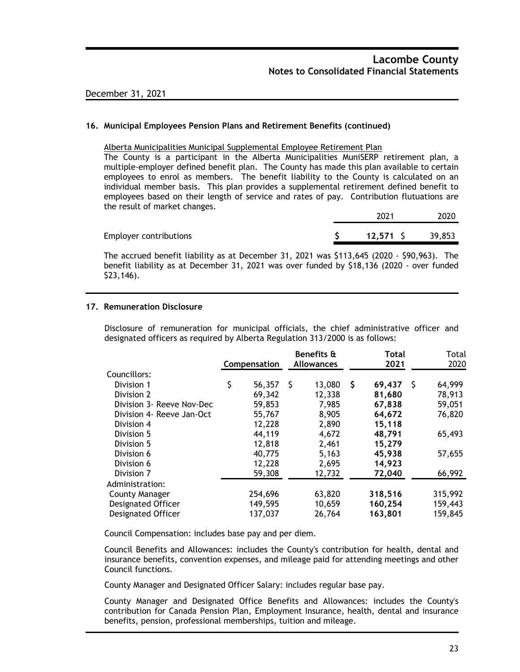### **16. Municipal Employees Pension Plans and Retirement Benefits (continued)**

#### Alberta Municipalities Municipal Supplemental Employee Retirement Plan

The County is a participant in the Alberta Municipalities MuniSERP retirement plan, a multiple-employer defined benefit plan. The County has made this plan available to certain employees to enrol as members. The benefit liability to the County is calculated on an individual member basis. This plan provides a supplemental retirement defined benefit to employees based on their length of service and rates of pay. Contribution flutuations are the result of market changes.

|                               | 2021     | 2020   |
|-------------------------------|----------|--------|
| <b>Employer contributions</b> | 12,571 S | 39,853 |

The accrued benefit liability as at December 31, 2021 was \$113,645 (2020 - \$90,963). The benefit liability as at December 31, 2021 was over funded by \$18,136 (2020 - over funded \$23,146).

### **17. Remuneration Disclosure**

Disclosure of remuneration for municipal officials, the chief administrative officer and designated officers as required by Alberta Regulation 313/2000 is as follows:

|                           |              |         |     | Benefits &        |   | Total   |    | Total   |
|---------------------------|--------------|---------|-----|-------------------|---|---------|----|---------|
|                           | Compensation |         |     | <b>Allowances</b> |   | 2021    |    | 2020    |
| Councillors:              |              |         |     |                   |   |         |    |         |
| Division 1                | \$           | 56,357  | -\$ | 13,080            | S | 69,437  | -S | 64,999  |
| Division 2                |              | 69,342  |     | 12,338            |   | 81,680  |    | 78,913  |
| Division 3- Reeve Nov-Dec |              | 59,853  |     | 7,985             |   | 67,838  |    | 59,051  |
| Division 4- Reeve Jan-Oct |              | 55,767  |     | 8,905             |   | 64,672  |    | 76,820  |
| Division 4                |              | 12,228  |     | 2,890             |   | 15,118  |    |         |
| Division 5                |              | 44,119  |     | 4,672             |   | 48,791  |    | 65,493  |
| Division 5                |              | 12,818  |     | 2,461             |   | 15,279  |    |         |
| Division 6                |              | 40,775  |     | 5,163             |   | 45,938  |    | 57,655  |
| Division 6                |              | 12,228  |     | 2,695             |   | 14,923  |    |         |
| Division 7                |              | 59,308  |     | 12,732            |   | 72,040  |    | 66,992  |
| Administration:           |              |         |     |                   |   |         |    |         |
| <b>County Manager</b>     |              | 254,696 |     | 63,820            |   | 318,516 |    | 315,992 |
| Designated Officer        |              | 149,595 |     | 10,659            |   | 160,254 |    | 159,443 |
| <b>Designated Officer</b> |              | 137,037 |     | 26,764            |   | 163,801 |    | 159,845 |
|                           |              |         |     |                   |   |         |    |         |

Council Compensation: includes base pay and per diem.

Council Benefits and Allowances: includes the County's contribution for health, dental and insurance benefits, convention expenses, and mileage paid for attending meetings and other Council functions.

County Manager and Designated Officer Salary: includes regular base pay.

County Manager and Designated Office Benefits and Allowances: includes the County's contribution for Canada Pension Plan, Employment Insurance, health, dental and insurance benefits, pension, professional memberships, tuition and mileage.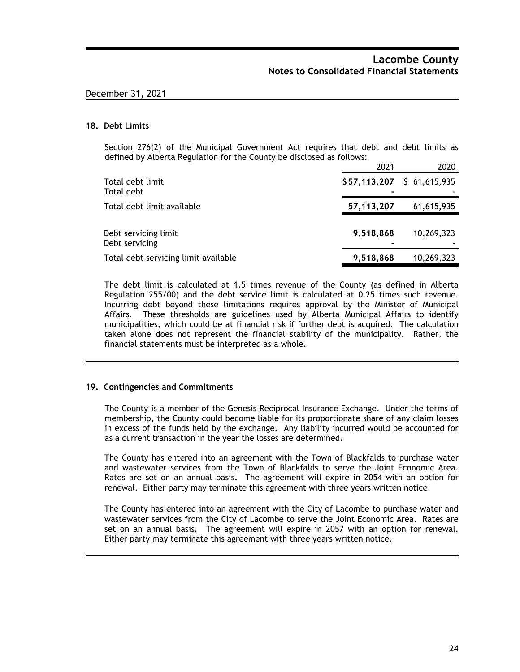#### **18. Debt Limits**

Section 276(2) of the Municipal Government Act requires that debt and debt limits as defined by Alberta Regulation for the County be disclosed as follows:

|                                        | 2021                        | 2020       |
|----------------------------------------|-----------------------------|------------|
| Total debt limit<br>Total debt         | $$57,113,207$ $$61,615,935$ |            |
| Total debt limit available             | 57, 113, 207                | 61,615,935 |
| Debt servicing limit<br>Debt servicing | 9,518,868                   | 10,269,323 |
| Total debt servicing limit available   | 9,518,868                   | 10,269,323 |

The debt limit is calculated at 1.5 times revenue of the County (as defined in Alberta Regulation 255/00) and the debt service limit is calculated at 0.25 times such revenue. Incurring debt beyond these limitations requires approval by the Minister of Municipal Affairs. These thresholds are guidelines used by Alberta Municipal Affairs to identify municipalities, which could be at financial risk if further debt is acquired. The calculation taken alone does not represent the financial stability of the municipality. Rather, the financial statements must be interpreted as a whole.

#### **19. Contingencies and Commitments**

The County is a member of the Genesis Reciprocal Insurance Exchange. Under the terms of membership, the County could become liable for its proportionate share of any claim losses in excess of the funds held by the exchange. Any liability incurred would be accounted for as a current transaction in the year the losses are determined.

The County has entered into an agreement with the Town of Blackfalds to purchase water and wastewater services from the Town of Blackfalds to serve the Joint Economic Area. Rates are set on an annual basis. The agreement will expire in 2054 with an option for renewal. Either party may terminate this agreement with three years written notice.

The County has entered into an agreement with the City of Lacombe to purchase water and wastewater services from the City of Lacombe to serve the Joint Economic Area. Rates are set on an annual basis. The agreement will expire in 2057 with an option for renewal. Either party may terminate this agreement with three years written notice.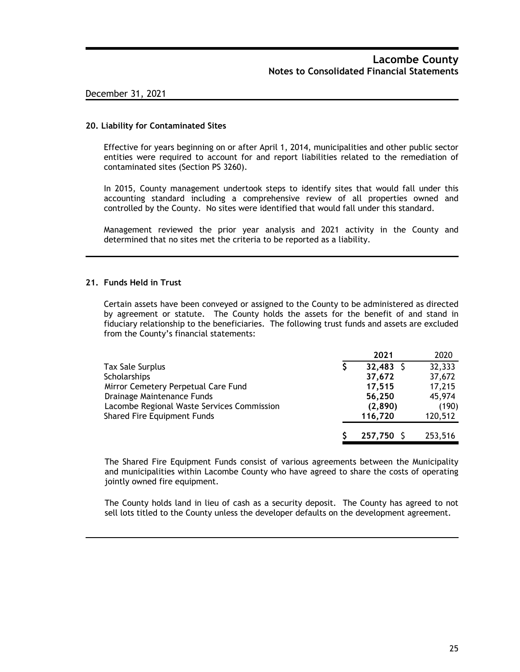#### **20. Liability for Contaminated Sites**

Effective for years beginning on or after April 1, 2014, municipalities and other public sector entities were required to account for and report liabilities related to the remediation of contaminated sites (Section PS 3260).

In 2015, County management undertook steps to identify sites that would fall under this accounting standard including a comprehensive review of all properties owned and controlled by the County. No sites were identified that would fall under this standard.

Management reviewed the prior year analysis and 2021 activity in the County and determined that no sites met the criteria to be reported as a liability.

#### **21. Funds Held in Trust**

Certain assets have been conveyed or assigned to the County to be administered as directed by agreement or statute. The County holds the assets for the benefit of and stand in fiduciary relationship to the beneficiaries. The following trust funds and assets are excluded from the County's financial statements:

|                                            | 2021        | 2020    |
|--------------------------------------------|-------------|---------|
| Tax Sale Surplus                           | $32,483$ \$ | 32,333  |
| Scholarships                               | 37,672      | 37,672  |
| Mirror Cemetery Perpetual Care Fund        | 17,515      | 17,215  |
| Drainage Maintenance Funds                 | 56,250      | 45,974  |
| Lacombe Regional Waste Services Commission | (2,890)     | (190)   |
| Shared Fire Equipment Funds                | 116,720     | 120,512 |
|                                            | 257,750 S   | 253,516 |

The Shared Fire Equipment Funds consist of various agreements between the Municipality and municipalities within Lacombe County who have agreed to share the costs of operating jointly owned fire equipment.

The County holds land in lieu of cash as a security deposit. The County has agreed to not sell lots titled to the County unless the developer defaults on the development agreement.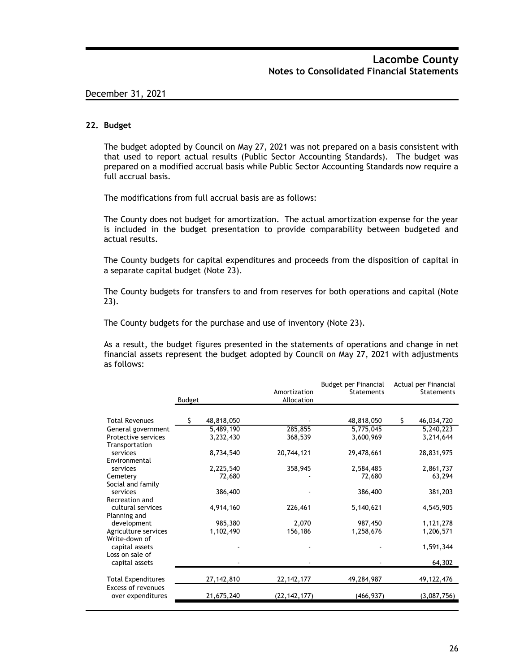#### **22. Budget**

The budget adopted by Council on May 27, 2021 was not prepared on a basis consistent with that used to report actual results (Public Sector Accounting Standards). The budget was prepared on a modified accrual basis while Public Sector Accounting Standards now require a full accrual basis.

The modifications from full accrual basis are as follows:

The County does not budget for amortization. The actual amortization expense for the year is included in the budget presentation to provide comparability between budgeted and actual results.

The County budgets for capital expenditures and proceeds from the disposition of capital in a separate capital budget (Note 23).

The County budgets for transfers to and from reserves for both operations and capital (Note 23).

The County budgets for the purchase and use of inventory (Note 23).

As a result, the budget figures presented in the statements of operations and change in net financial assets represent the budget adopted by Council on May 27, 2021 with adjustments as follows:

|                                         | <b>Budget</b> |            | Amortization<br>Allocation | <b>Budget per Financial</b><br><b>Statements</b> | Actual per Financial<br>Statements |
|-----------------------------------------|---------------|------------|----------------------------|--------------------------------------------------|------------------------------------|
|                                         |               |            |                            |                                                  |                                    |
| <b>Total Revenues</b>                   |               | 48,818,050 |                            | 48,818,050                                       | \$<br>46,034,720                   |
| General government                      |               | 5,489,190  | 285,855                    | 5,775,045                                        | 5,240,223                          |
| Protective services                     |               | 3,232,430  | 368,539                    | 3,600,969                                        | 3,214,644                          |
| Transportation                          |               |            |                            |                                                  |                                    |
| services                                |               | 8,734,540  | 20,744,121                 | 29,478,661                                       | 28,831,975                         |
| Environmental                           |               |            |                            |                                                  |                                    |
| services                                |               | 2,225,540  | 358,945                    | 2,584,485                                        | 2,861,737                          |
| Cemetery                                |               | 72,680     |                            | 72,680                                           | 63,294                             |
| Social and family                       |               |            |                            |                                                  |                                    |
| services                                |               | 386,400    |                            | 386,400                                          | 381,203                            |
| Recreation and                          |               |            |                            |                                                  |                                    |
| cultural services                       |               | 4,914,160  | 226,461                    | 5,140,621                                        | 4,545,905                          |
| Planning and                            |               |            |                            |                                                  |                                    |
| development                             |               | 985,380    | 2,070                      | 987,450                                          | 1,121,278                          |
| Agriculture services                    |               | 1,102,490  | 156,186                    | 1,258,676                                        | 1,206,571                          |
| Write-down of                           |               |            |                            |                                                  |                                    |
| capital assets<br>Loss on sale of       |               |            |                            |                                                  | 1,591,344                          |
| capital assets                          |               |            |                            |                                                  | 64,302                             |
|                                         |               |            |                            |                                                  |                                    |
| <b>Total Expenditures</b>               |               | 27,142,810 | 22, 142, 177               | 49,284,987                                       | 49, 122, 476                       |
| Excess of revenues<br>over expenditures |               | 21,675,240 | (22, 142, 177)             | (466, 937)                                       | (3,087,756)                        |
|                                         |               |            |                            |                                                  |                                    |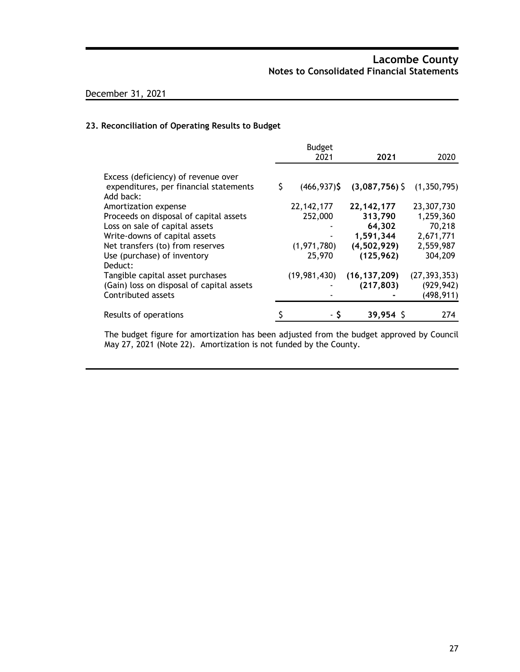### **23. Reconciliation of Operating Results to Budget**

|                                                                                            |   | <b>Budget</b>   |                |                |
|--------------------------------------------------------------------------------------------|---|-----------------|----------------|----------------|
|                                                                                            |   | 2021            | 2021           | 2020           |
| Excess (deficiency) of revenue over<br>expenditures, per financial statements<br>Add back: | S | $(466, 937)$ \$ | (3,087,756)    | (1,350,795)    |
| Amortization expense                                                                       |   | 22, 142, 177    | 22, 142, 177   | 23,307,730     |
| Proceeds on disposal of capital assets                                                     |   | 252,000         | 313,790        | 1,259,360      |
| Loss on sale of capital assets                                                             |   |                 | 64,302         | 70,218         |
| Write-downs of capital assets                                                              |   |                 | 1,591,344      | 2,671,771      |
| Net transfers (to) from reserves                                                           |   | (1, 971, 780)   | (4,502,929)    | 2,559,987      |
| Use (purchase) of inventory<br>Deduct:                                                     |   | 25,970          | (125, 962)     | 304,209        |
| Tangible capital asset purchases                                                           |   | (19,981,430)    | (16, 137, 209) | (27, 393, 353) |
| (Gain) loss on disposal of capital assets                                                  |   |                 | (217, 803)     | (929, 942)     |
| Contributed assets                                                                         |   |                 |                | (498, 911)     |
| Results of operations                                                                      |   |                 | $39,954$ \$    | 274            |

The budget figure for amortization has been adjusted from the budget approved by Council May 27, 2021 (Note 22). Amortization is not funded by the County.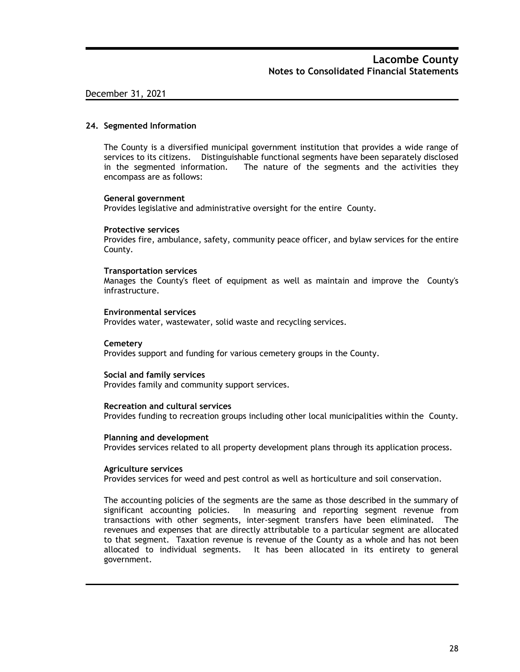#### **24. Segmented Information**

The County is a diversified municipal government institution that provides a wide range of services to its citizens. Distinguishable functional segments have been separately disclosed in the segmented information. The nature of the segments and the activities they encompass are as follows:

#### **General government**

Provides legislative and administrative oversight for the entire County.

#### **Protective services**

Provides fire, ambulance, safety, community peace officer, and bylaw services for the entire County.

#### **Transportation services**

Manages the County's fleet of equipment as well as maintain and improve the County's infrastructure.

#### **Environmental services**

Provides water, wastewater, solid waste and recycling services.

#### **Cemetery**

Provides support and funding for various cemetery groups in the County.

#### **Social and family services**

Provides family and community support services.

#### **Recreation and cultural services**

Provides funding to recreation groups including other local municipalities within the County.

#### **Planning and development**

Provides services related to all property development plans through its application process.

#### **Agriculture services**

Provides services for weed and pest control as well as horticulture and soil conservation.

The accounting policies of the segments are the same as those described in the summary of significant accounting policies. In measuring and reporting segment revenue from transactions with other segments, inter-segment transfers have been eliminated. The revenues and expenses that are directly attributable to a particular segment are allocated to that segment. Taxation revenue is revenue of the County as a whole and has not been allocated to individual segments. It has been allocated in its entirety to general government.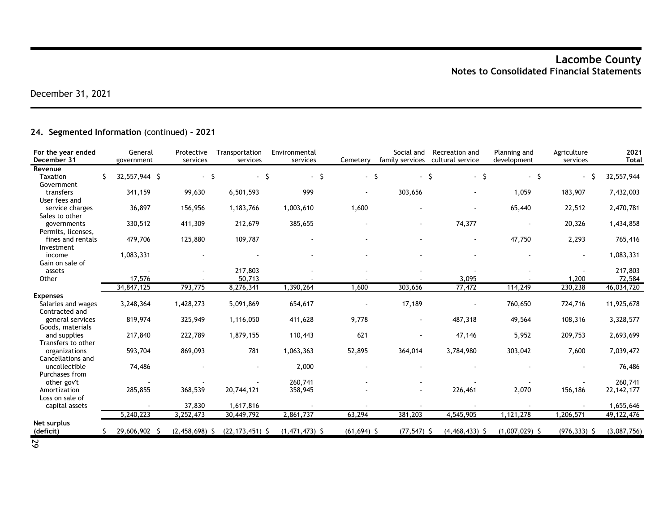### **24. Segmented Information** (continued) **- 2021**

| For the year ended<br>December 31 |    | General<br>government | Protective<br>services | Transportation<br>services | Environmental<br>services | Cemetery       | Social and<br>family services | Recreation and<br>cultural service | Planning and<br>development | Agriculture<br>services | 2021<br><b>Total</b> |
|-----------------------------------|----|-----------------------|------------------------|----------------------------|---------------------------|----------------|-------------------------------|------------------------------------|-----------------------------|-------------------------|----------------------|
| Revenue                           |    |                       |                        |                            |                           |                |                               |                                    |                             |                         |                      |
| <b>Taxation</b>                   | Ŝ. | 32,557,944 \$         | $-5$                   | $-5$                       | S.<br>$\sim$              | $-5$           | $\blacksquare$                | -\$<br>- \$                        | $-5$                        |                         | 32,557,944           |
| Government                        |    |                       |                        |                            |                           |                |                               |                                    |                             |                         |                      |
| transfers                         |    | 341,159               | 99,630                 | 6,501,593                  | 999                       |                | 303,656                       |                                    | 1,059                       | 183,907                 | 7,432,003            |
| User fees and                     |    |                       |                        |                            |                           |                |                               |                                    |                             |                         |                      |
| service charges                   |    | 36,897                | 156,956                | 1,183,766                  | 1,003,610                 | 1,600          |                               |                                    | 65,440                      | 22,512                  | 2,470,781            |
| Sales to other                    |    |                       |                        |                            |                           |                |                               |                                    |                             |                         |                      |
| governments                       |    | 330,512               | 411,309                | 212,679                    | 385,655                   |                | $\blacksquare$                | 74,377                             |                             | 20,326                  | 1,434,858            |
| Permits, licenses,                |    |                       |                        |                            |                           |                |                               |                                    |                             |                         |                      |
| fines and rentals                 |    | 479,706               | 125,880                | 109,787                    |                           |                |                               |                                    | 47,750                      | 2,293                   | 765,416              |
| Investment                        |    |                       |                        |                            |                           |                |                               |                                    |                             |                         |                      |
| income                            |    | 1,083,331             |                        |                            |                           |                |                               |                                    |                             |                         | 1,083,331            |
| Gain on sale of                   |    |                       |                        |                            |                           |                |                               |                                    |                             |                         |                      |
| assets                            |    |                       |                        | 217,803                    |                           |                |                               |                                    |                             |                         | 217,803              |
| Other                             |    | 17,576                |                        | 50,713                     |                           |                |                               | 3,095                              |                             | 1,200                   | 72,584               |
|                                   |    | 34,847,125            | 793,775                | 8,276,341                  | 1,390,264                 | 1,600          | 303,656                       | 77,472                             | 114,249                     | 230,238                 | 46,034,720           |
| <b>Expenses</b>                   |    |                       |                        |                            |                           |                |                               |                                    |                             |                         |                      |
| Salaries and wages                |    | 3,248,364             | 1,428,273              | 5,091,869                  | 654,617                   |                | 17,189                        |                                    | 760,650                     | 724,716                 | 11,925,678           |
| Contracted and                    |    |                       |                        |                            |                           |                |                               |                                    |                             |                         |                      |
| general services                  |    | 819,974               | 325,949                | 1,116,050                  | 411,628                   | 9,778          |                               | 487,318                            | 49,564                      | 108,316                 | 3,328,577            |
| Goods, materials                  |    |                       |                        |                            |                           |                |                               |                                    |                             |                         |                      |
| and supplies                      |    | 217,840               | 222,789                | 1,879,155                  | 110,443                   | 621            |                               | 47,146                             | 5,952                       | 209,753                 | 2,693,699            |
| Transfers to other                |    |                       |                        |                            |                           |                |                               |                                    |                             |                         |                      |
| organizations                     |    | 593,704               | 869,093                | 781                        | 1,063,363                 | 52,895         | 364,014                       | 3,784,980                          | 303,042                     | 7,600                   | 7,039,472            |
| Cancellations and                 |    |                       |                        |                            |                           |                |                               |                                    |                             |                         |                      |
| uncollectible                     |    | 74,486                |                        |                            | 2,000                     |                |                               |                                    |                             |                         | 76,486               |
| Purchases from                    |    |                       |                        |                            |                           |                |                               |                                    |                             |                         |                      |
| other gov't                       |    |                       |                        |                            | 260,741                   |                |                               |                                    |                             |                         | 260,741              |
| Amortization                      |    | 285,855               | 368,539                | 20,744,121                 | 358,945                   |                | $\blacksquare$                | 226,461                            | 2,070                       | 156,186                 | 22, 142, 177         |
| Loss on sale of                   |    |                       |                        |                            |                           |                |                               |                                    |                             |                         |                      |
| capital assets                    |    |                       | 37,830                 | 1,617,816                  |                           |                |                               |                                    |                             |                         | 1,655,646            |
|                                   |    | 5,240,223             | 3,252,473              | 30,449,792                 | 2,861,737                 | 63,294         | 381,203                       | 4,545,905                          | 1,121,278                   | ,206,571                | 49, 122, 476         |
| Net surplus                       |    |                       |                        |                            |                           |                |                               |                                    |                             |                         |                      |
| (deficit)                         |    | 29,606,902 \$         | $(2,458,698)$ \$       | $(22, 173, 451)$ \$        | $(1,471,473)$ \$          | $(61, 694)$ \$ | $(77, 547)$ \$                | $(4,468,433)$ \$                   | $(1,007,029)$ \$            | $(976, 333)$ \$         | (3,087,756)          |
| <b>N</b> 1                        |    |                       |                        |                            |                           |                |                               |                                    |                             |                         |                      |

29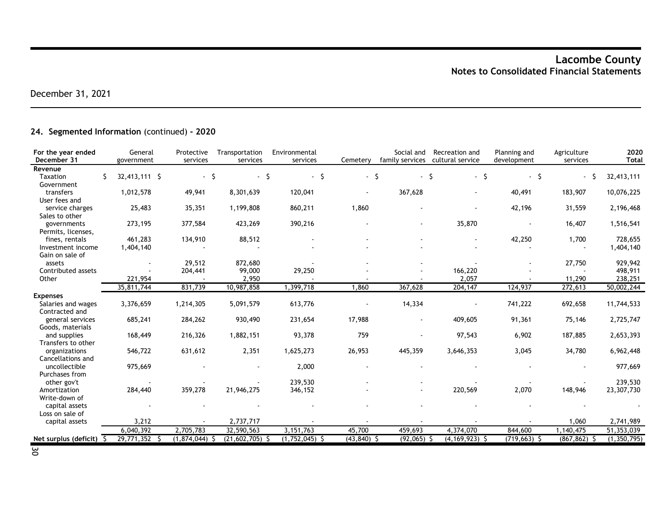### **24. Segmented Information** (continued) **- 2020**

| For the year ended<br>December 31 | General<br>government | Protective<br>services | Transportation<br>services | Environmental<br>services | Cemetery       | Social and<br>family services | Recreation and<br>cultural service | Planning and<br>development | Agriculture<br>services | 2020<br><b>Total</b> |
|-----------------------------------|-----------------------|------------------------|----------------------------|---------------------------|----------------|-------------------------------|------------------------------------|-----------------------------|-------------------------|----------------------|
| Revenue                           |                       |                        |                            |                           |                |                               |                                    |                             |                         |                      |
| <b>Taxation</b>                   | Ŝ.<br>32,413,111 \$   | $-5$                   | - \$                       | \$<br>$\sim$              | $-5$           | $\blacksquare$                | - \$<br>- \$                       | - \$                        | $\sim$                  | 32,413,111           |
| Government                        |                       |                        |                            |                           |                |                               |                                    |                             |                         |                      |
| transfers                         | 1,012,578             | 49,941                 | 8,301,639                  | 120,041                   |                | 367,628                       |                                    | 40,491                      | 183,907                 | 10,076,225           |
| User fees and                     |                       |                        |                            |                           |                |                               |                                    |                             |                         |                      |
| service charges                   | 25,483                | 35,351                 | 1,199,808                  | 860,211                   | 1,860          |                               |                                    | 42,196                      | 31,559                  | 2,196,468            |
| Sales to other                    |                       |                        |                            |                           |                |                               |                                    |                             |                         |                      |
| governments                       | 273,195               | 377,584                | 423,269                    | 390,216                   |                | $\overline{a}$                | 35,870                             |                             | 16,407                  | 1,516,541            |
| Permits, licenses,                |                       |                        |                            |                           |                |                               |                                    |                             |                         |                      |
| fines, rentals                    | 461,283               | 134,910                | 88,512                     |                           |                |                               |                                    | 42,250                      | 1,700                   | 728,655              |
| Investment income                 | 1,404,140             |                        |                            |                           |                |                               |                                    |                             |                         | 1,404,140            |
| Gain on sale of                   |                       |                        |                            |                           |                |                               |                                    |                             |                         |                      |
| assets                            | $\sim$                | 29,512                 | 872,680                    |                           |                |                               |                                    |                             | 27,750                  | 929,942              |
| Contributed assets                |                       | 204,441                | 99,000                     | 29,250                    |                |                               | 166,220                            |                             |                         | 498,911              |
| Other                             | 221,954               |                        | 2,950                      |                           |                |                               | 2,057                              |                             | 11,290                  | 238,251              |
|                                   | 35,811,744            | 831,739                | 10,987,858                 | 1,399,718                 | 1,860          | 367,628                       | 204,147                            | 124,937                     | 272,613                 | 50,002,244           |
| <b>Expenses</b>                   |                       |                        |                            |                           |                |                               |                                    |                             |                         |                      |
| Salaries and wages                | 3,376,659             | 1,214,305              | 5,091,579                  | 613,776                   |                | 14,334                        |                                    | 741,222                     | 692,658                 | 11,744,533           |
| Contracted and                    |                       |                        |                            |                           |                |                               |                                    |                             |                         |                      |
| general services                  | 685,241               | 284,262                | 930,490                    | 231,654                   | 17,988         |                               | 409,605                            | 91,361                      | 75,146                  | 2,725,747            |
| Goods, materials                  |                       |                        |                            |                           |                |                               |                                    |                             |                         |                      |
| and supplies                      | 168,449               | 216,326                | 1,882,151                  | 93,378                    | 759            |                               | 97,543                             | 6,902                       | 187,885                 | 2,653,393            |
| Transfers to other                |                       |                        |                            |                           |                |                               |                                    |                             |                         |                      |
| organizations                     | 546,722               | 631,612                | 2,351                      | 1,625,273                 | 26,953         | 445,359                       | 3,646,353                          | 3,045                       | 34,780                  | 6,962,448            |
| Cancellations and                 |                       |                        |                            |                           |                |                               |                                    |                             |                         |                      |
| uncollectible                     | 975,669               |                        |                            | 2,000                     |                |                               |                                    |                             |                         | 977,669              |
| Purchases from                    |                       |                        |                            |                           |                |                               |                                    |                             |                         |                      |
| other gov't                       |                       |                        |                            | 239,530                   |                |                               |                                    |                             |                         | 239,530              |
| Amortization                      | 284,440               | 359,278                | 21,946,275                 | 346,152                   |                |                               | 220,569                            | 2,070                       | 148,946                 | 23,307,730           |
| Write-down of                     |                       |                        |                            |                           |                |                               |                                    |                             |                         |                      |
| capital assets                    |                       |                        |                            |                           |                |                               |                                    |                             |                         |                      |
| Loss on sale of                   |                       |                        |                            |                           |                |                               |                                    |                             |                         |                      |
| capital assets                    | 3,212                 |                        | 2,737,717                  |                           |                |                               |                                    |                             | 1,060                   | 2,741,989            |
|                                   | 6,040,392             | 2,705,783              | 32,590,563                 | 3,151,763                 | 45,700         | 459,693                       | 4,374,070                          | 844,600                     | 1,140,475               | 51,353,039           |
| Net surplus (deficit) \$          | 29,771,352 \$         | $(1,874,044)$ \$       | $(21,602,705)$ \$          | $(1,752,045)$ \$          | $(43, 840)$ \$ | $(92,065)$ \$                 | $(4, 169, 923)$ \$                 | $(719, 663)$ \$             | $(867, 862)$ \$         | (1, 350, 795)        |

30